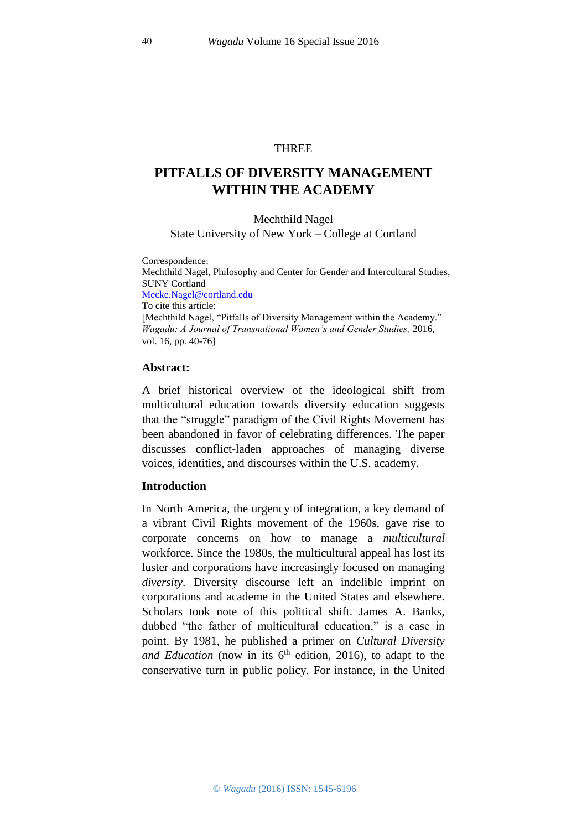### THREE

# **PITFALLS OF DIVERSITY MANAGEMENT WITHIN THE ACADEMY**

#### Mechthild Nagel

### State University of New York – College at Cortland

Correspondence:

Mechthild Nagel, Philosophy and Center for Gender and Intercultural Studies, SUNY Cortland [Mecke.Nagel@cortland.edu](file:///C:/Users/dhawan/AppData/Local/Temp/%22mailto:) To cite this article: [Mechthild Nagel, "Pitfalls of Diversity Management within the Academy." *Wagadu: A Journal of Transnational Women's and Gender Studies,* 2016, vol. 16, pp. 40-76]

### **Abstract:**

A brief historical overview of the ideological shift from multicultural education towards diversity education suggests that the "struggle" paradigm of the Civil Rights Movement has been abandoned in favor of celebrating differences. The paper discusses conflict-laden approaches of managing diverse voices, identities, and discourses within the U.S. academy.

### **Introduction**

In North America, the urgency of integration, a key demand of a vibrant Civil Rights movement of the 1960s, gave rise to corporate concerns on how to manage a *multicultural* workforce. Since the 1980s, the multicultural appeal has lost its luster and corporations have increasingly focused on managing *diversity*. Diversity discourse left an indelible imprint on corporations and academe in the United States and elsewhere. Scholars took note of this political shift. James A. Banks, dubbed "the father of multicultural education," is a case in point. By 1981, he published a primer on *Cultural Diversity and Education* (now in its  $6<sup>th</sup>$  edition, 2016), to adapt to the conservative turn in public policy. For instance, in the United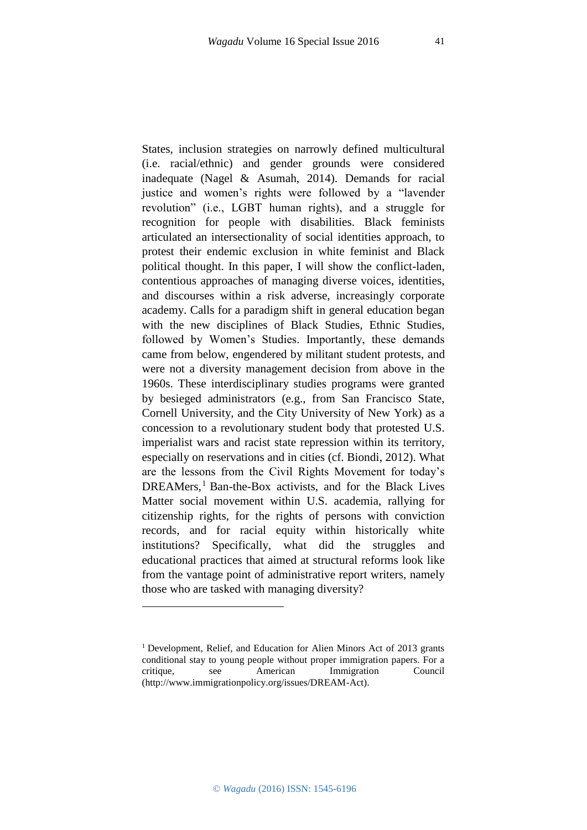States, inclusion strategies on narrowly defined multicultural (i.e. racial/ethnic) and gender grounds were considered inadequate (Nagel & Asumah, 2014). Demands for racial justice and women's rights were followed by a "lavender revolution" (i.e., LGBT human rights), and a struggle for recognition for people with disabilities. Black feminists articulated an intersectionality of social identities approach, to protest their endemic exclusion in white feminist and Black political thought. In this paper, I will show the conflict-laden, contentious approaches of managing diverse voices, identities, and discourses within a risk adverse, increasingly corporate academy. Calls for a paradigm shift in general education began with the new disciplines of Black Studies, Ethnic Studies, followed by Women's Studies. Importantly, these demands came from below, engendered by militant student protests, and were not a diversity management decision from above in the 1960s. These interdisciplinary studies programs were granted by besieged administrators (e.g., from San Francisco State, Cornell University, and the City University of New York) as a concession to a revolutionary student body that protested U.S. imperialist wars and racist state repression within its territory, especially on reservations and in cities (cf. Biondi, 2012). What are the lessons from the Civil Rights Movement for today's DREAMers,<sup>1</sup> Ban-the-Box activists, and for the Black Lives Matter social movement within U.S. academia, rallying for citizenship rights, for the rights of persons with conviction records, and for racial equity within historically white institutions? Specifically, what did the struggles and educational practices that aimed at structural reforms look like from the vantage point of administrative report writers, namely those who are tasked with managing diversity?

**.** 

<sup>&</sup>lt;sup>1</sup> Development, Relief, and Education for Alien Minors Act of 2013 grants conditional stay to young people without proper immigration papers. For a critique, see American Immigration Council [\(http://www.immigrationpolicy.org/issues/DREAM-Act\)](http://www.immigrationpolicy.org/issues/DREAM-Act).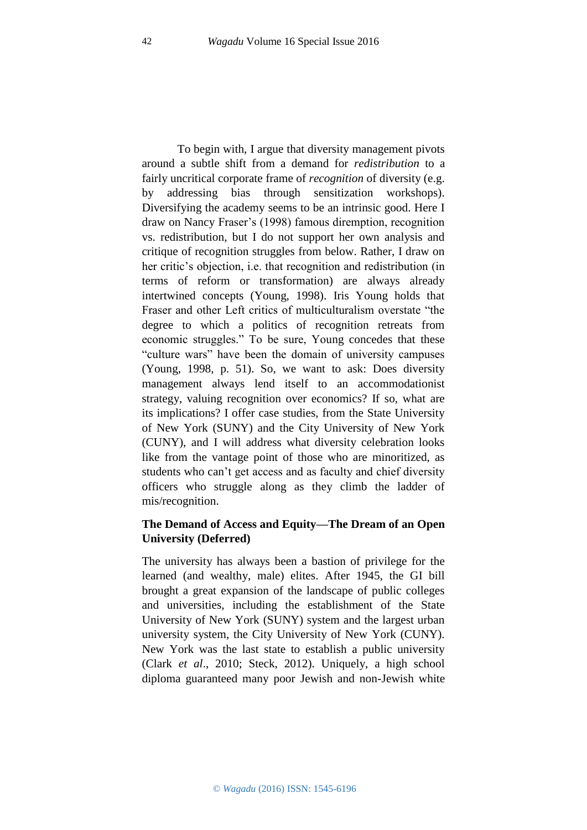To begin with, I argue that diversity management pivots around a subtle shift from a demand for *redistribution* to a fairly uncritical corporate frame of *recognition* of diversity (e.g. by addressing bias through sensitization workshops). Diversifying the academy seems to be an intrinsic good. Here I draw on Nancy Fraser's (1998) famous diremption, recognition vs. redistribution, but I do not support her own analysis and critique of recognition struggles from below. Rather, I draw on her critic's objection, i.e. that recognition and redistribution (in terms of reform or transformation) are always already intertwined concepts (Young, 1998). Iris Young holds that Fraser and other Left critics of multiculturalism overstate "the degree to which a politics of recognition retreats from economic struggles." To be sure, Young concedes that these "culture wars" have been the domain of university campuses (Young, 1998, p. 51). So, we want to ask: Does diversity management always lend itself to an accommodationist strategy, valuing recognition over economics? If so, what are its implications? I offer case studies, from the State University of New York (SUNY) and the City University of New York (CUNY), and I will address what diversity celebration looks like from the vantage point of those who are minoritized, as students who can't get access and as faculty and chief diversity officers who struggle along as they climb the ladder of mis/recognition.

## **The Demand of Access and Equity—The Dream of an Open University (Deferred)**

The university has always been a bastion of privilege for the learned (and wealthy, male) elites. After 1945, the GI bill brought a great expansion of the landscape of public colleges and universities, including the establishment of the State University of New York (SUNY) system and the largest urban university system, the City University of New York (CUNY). New York was the last state to establish a public university (Clark *et al*., 2010; Steck, 2012). Uniquely, a high school diploma guaranteed many poor Jewish and non-Jewish white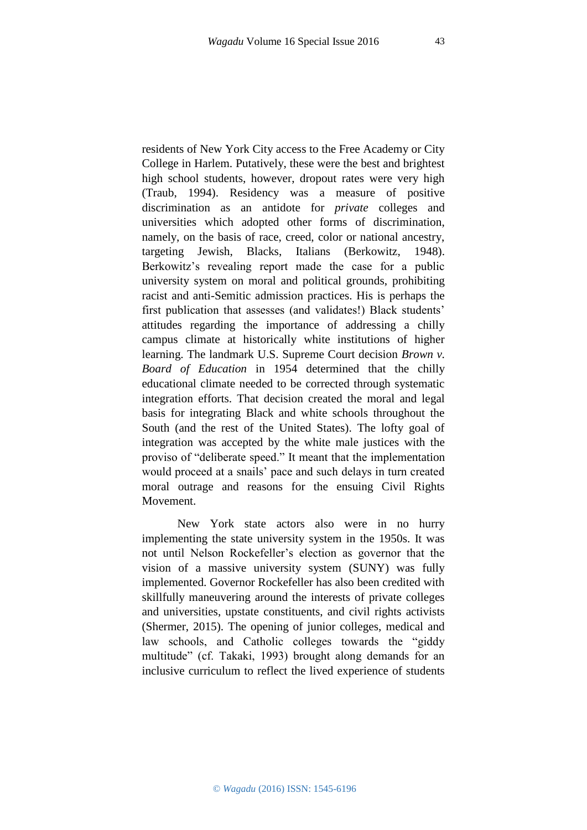residents of New York City access to the Free Academy or City College in Harlem. Putatively, these were the best and brightest high school students, however, dropout rates were very high (Traub, 1994). Residency was a measure of positive discrimination as an antidote for *private* colleges and universities which adopted other forms of discrimination, namely, on the basis of race, creed, color or national ancestry, targeting Jewish, Blacks, Italians (Berkowitz, 1948). Berkowitz's revealing report made the case for a public university system on moral and political grounds, prohibiting racist and anti-Semitic admission practices. His is perhaps the first publication that assesses (and validates!) Black students' attitudes regarding the importance of addressing a chilly campus climate at historically white institutions of higher learning. The landmark U.S. Supreme Court decision *Brown v. Board of Education* in 1954 determined that the chilly educational climate needed to be corrected through systematic integration efforts. That decision created the moral and legal basis for integrating Black and white schools throughout the South (and the rest of the United States). The lofty goal of integration was accepted by the white male justices with the proviso of "deliberate speed." It meant that the implementation would proceed at a snails' pace and such delays in turn created moral outrage and reasons for the ensuing Civil Rights Movement.

New York state actors also were in no hurry implementing the state university system in the 1950s. It was not until Nelson Rockefeller's election as governor that the vision of a massive university system (SUNY) was fully implemented. Governor Rockefeller has also been credited with skillfully maneuvering around the interests of private colleges and universities, upstate constituents, and civil rights activists (Shermer, 2015). The opening of junior colleges, medical and law schools, and Catholic colleges towards the "giddy multitude" (cf. Takaki, 1993) brought along demands for an inclusive curriculum to reflect the lived experience of students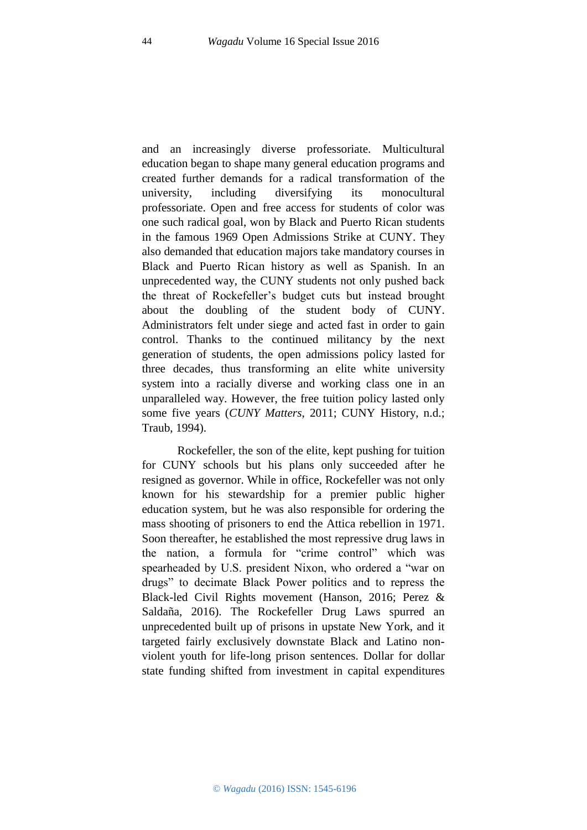and an increasingly diverse professoriate. Multicultural education began to shape many general education programs and created further demands for a radical transformation of the university, including diversifying its monocultural professoriate. Open and free access for students of color was one such radical goal, won by Black and Puerto Rican students in the famous 1969 Open Admissions Strike at CUNY. They also demanded that education majors take mandatory courses in Black and Puerto Rican history as well as Spanish. In an unprecedented way, the CUNY students not only pushed back the threat of Rockefeller's budget cuts but instead brought about the doubling of the student body of CUNY. Administrators felt under siege and acted fast in order to gain control. Thanks to the continued militancy by the next generation of students, the open admissions policy lasted for three decades, thus transforming an elite white university system into a racially diverse and working class one in an unparalleled way. However, the free tuition policy lasted only some five years (*CUNY Matters*, 2011; CUNY History, n.d.; Traub, 1994).

Rockefeller, the son of the elite, kept pushing for tuition for CUNY schools but his plans only succeeded after he resigned as governor. While in office, Rockefeller was not only known for his stewardship for a premier public higher education system, but he was also responsible for ordering the mass shooting of prisoners to end the Attica rebellion in 1971. Soon thereafter, he established the most repressive drug laws in the nation, a formula for "crime control" which was spearheaded by U.S. president Nixon, who ordered a "war on drugs" to decimate Black Power politics and to repress the Black-led Civil Rights movement (Hanson, 2016; Perez & Saldaña, 2016). The Rockefeller Drug Laws spurred an unprecedented built up of prisons in upstate New York, and it targeted fairly exclusively downstate Black and Latino nonviolent youth for life-long prison sentences. Dollar for dollar state funding shifted from investment in capital expenditures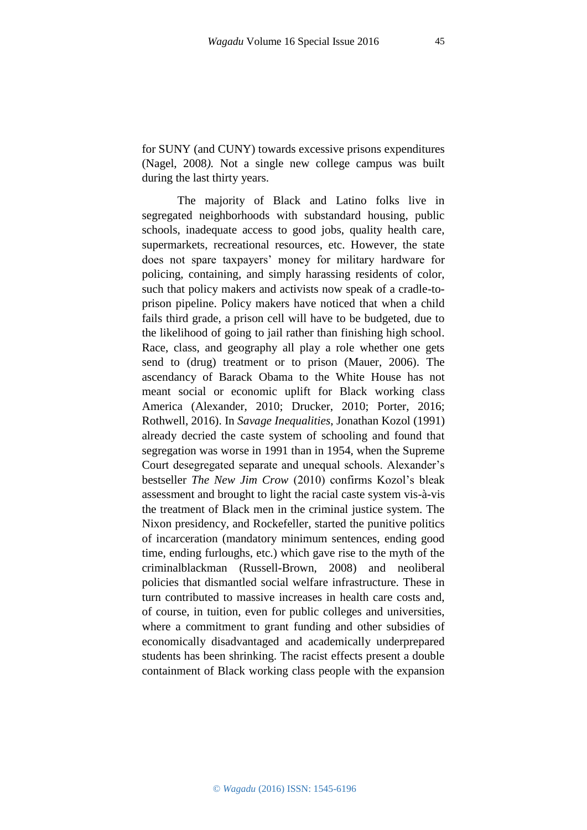for SUNY (and CUNY) towards excessive prisons expenditures (Nagel, 2008*).* Not a single new college campus was built during the last thirty years.

The majority of Black and Latino folks live in segregated neighborhoods with substandard housing, public schools, inadequate access to good jobs, quality health care, supermarkets, recreational resources, etc. However, the state does not spare taxpayers' money for military hardware for policing, containing, and simply harassing residents of color, such that policy makers and activists now speak of a cradle-toprison pipeline. Policy makers have noticed that when a child fails third grade, a prison cell will have to be budgeted, due to the likelihood of going to jail rather than finishing high school. Race, class, and geography all play a role whether one gets send to (drug) treatment or to prison (Mauer, 2006). The ascendancy of Barack Obama to the White House has not meant social or economic uplift for Black working class America (Alexander, 2010; Drucker, 2010; Porter, 2016; Rothwell, 2016). In *Savage Inequalities*, Jonathan Kozol (1991) already decried the caste system of schooling and found that segregation was worse in 1991 than in 1954, when the Supreme Court desegregated separate and unequal schools. Alexander's bestseller *The New Jim Crow* (2010) confirms Kozol's bleak assessment and brought to light the racial caste system vis-à-vis the treatment of Black men in the criminal justice system. The Nixon presidency, and Rockefeller, started the punitive politics of incarceration (mandatory minimum sentences, ending good time, ending furloughs, etc.) which gave rise to the myth of the criminalblackman (Russell-Brown, 2008) and neoliberal policies that dismantled social welfare infrastructure. These in turn contributed to massive increases in health care costs and, of course, in tuition, even for public colleges and universities, where a commitment to grant funding and other subsidies of economically disadvantaged and academically underprepared students has been shrinking. The racist effects present a double containment of Black working class people with the expansion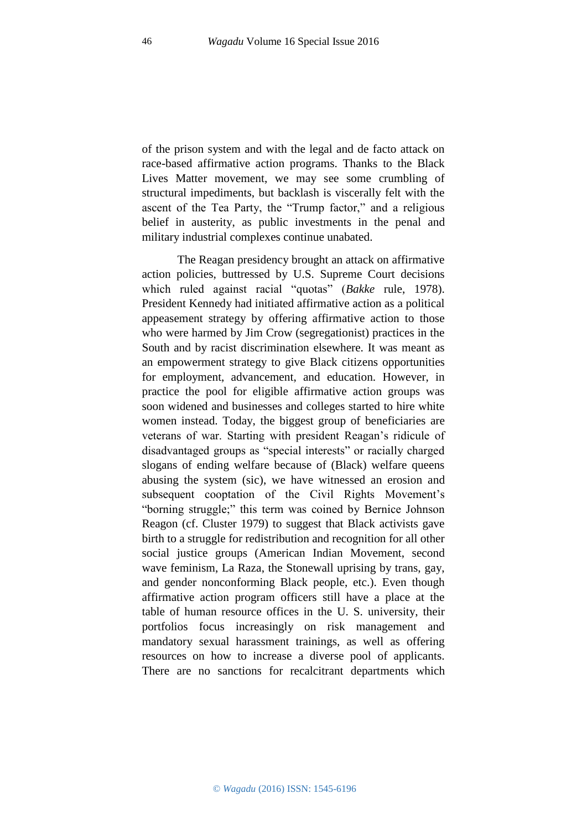of the prison system and with the legal and de facto attack on race-based affirmative action programs. Thanks to the Black Lives Matter movement, we may see some crumbling of structural impediments, but backlash is viscerally felt with the ascent of the Tea Party, the "Trump factor," and a religious belief in austerity, as public investments in the penal and military industrial complexes continue unabated.

The Reagan presidency brought an attack on affirmative action policies, buttressed by U.S. Supreme Court decisions which ruled against racial "quotas" (*Bakke* rule, 1978). President Kennedy had initiated affirmative action as a political appeasement strategy by offering affirmative action to those who were harmed by Jim Crow (segregationist) practices in the South and by racist discrimination elsewhere. It was meant as an empowerment strategy to give Black citizens opportunities for employment, advancement, and education. However, in practice the pool for eligible affirmative action groups was soon widened and businesses and colleges started to hire white women instead. Today, the biggest group of beneficiaries are veterans of war. Starting with president Reagan's ridicule of disadvantaged groups as "special interests" or racially charged slogans of ending welfare because of (Black) welfare queens abusing the system (sic), we have witnessed an erosion and subsequent cooptation of the Civil Rights Movement's "borning struggle;" this term was coined by Bernice Johnson Reagon (cf. Cluster 1979) to suggest that Black activists gave birth to a struggle for redistribution and recognition for all other social justice groups (American Indian Movement, second wave feminism, La Raza, the Stonewall uprising by trans, gay, and gender nonconforming Black people, etc.). Even though affirmative action program officers still have a place at the table of human resource offices in the U. S. university, their portfolios focus increasingly on risk management and mandatory sexual harassment trainings, as well as offering resources on how to increase a diverse pool of applicants. There are no sanctions for recalcitrant departments which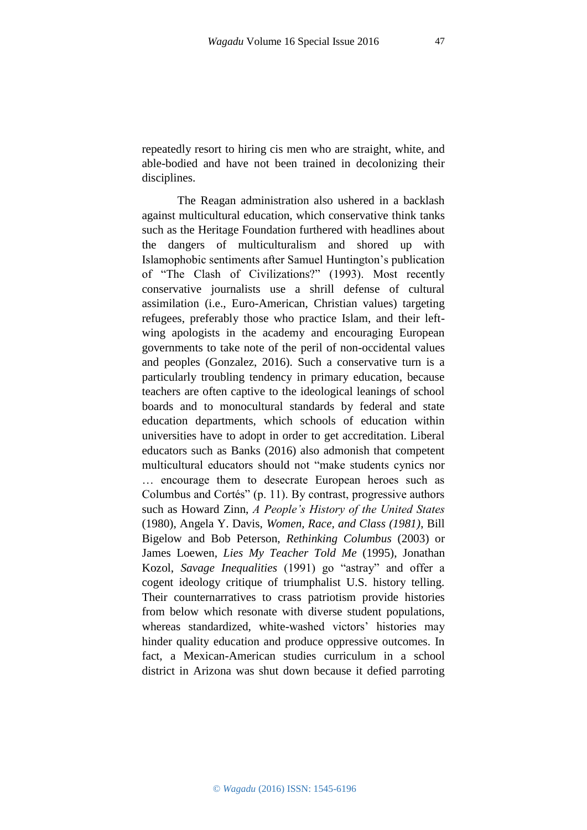repeatedly resort to hiring cis men who are straight, white, and able-bodied and have not been trained in decolonizing their disciplines.

The Reagan administration also ushered in a backlash against multicultural education, which conservative think tanks such as the Heritage Foundation furthered with headlines about the dangers of multiculturalism and shored up with Islamophobic sentiments after Samuel Huntington's publication of "The Clash of Civilizations?" (1993). Most recently conservative journalists use a shrill defense of cultural assimilation (i.e., Euro-American, Christian values) targeting refugees, preferably those who practice Islam, and their leftwing apologists in the academy and encouraging European governments to take note of the peril of non-occidental values and peoples (Gonzalez, 2016). Such a conservative turn is a particularly troubling tendency in primary education, because teachers are often captive to the ideological leanings of school boards and to monocultural standards by federal and state education departments, which schools of education within universities have to adopt in order to get accreditation. Liberal educators such as Banks (2016) also admonish that competent multicultural educators should not "make students cynics nor … encourage them to desecrate European heroes such as Columbus and Cortés" (p. 11). By contrast, progressive authors such as Howard Zinn, *A People's History of the United States* (1980), Angela Y. Davis, *Women, Race, and Class (1981)*, Bill Bigelow and Bob Peterson, *Rethinking Columbus* (2003) or James Loewen, *Lies My Teacher Told Me* (1995), Jonathan Kozol, *Savage Inequalities* (1991) go "astray" and offer a cogent ideology critique of triumphalist U.S. history telling. Their counternarratives to crass patriotism provide histories from below which resonate with diverse student populations, whereas standardized, white-washed victors' histories may hinder quality education and produce oppressive outcomes. In fact, a Mexican-American studies curriculum in a school district in Arizona was shut down because it defied parroting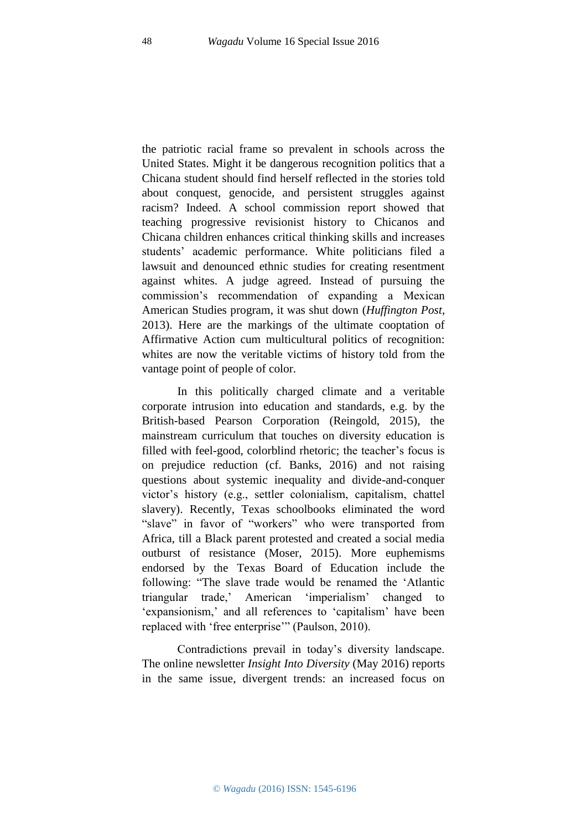the patriotic racial frame so prevalent in schools across the United States. Might it be dangerous recognition politics that a Chicana student should find herself reflected in the stories told about conquest, genocide, and persistent struggles against racism? Indeed. A school commission report showed that teaching progressive revisionist history to Chicanos and Chicana children enhances critical thinking skills and increases students' academic performance. White politicians filed a lawsuit and denounced ethnic studies for creating resentment against whites. A judge agreed. Instead of pursuing the commission's recommendation of expanding a Mexican American Studies program, it was shut down (*Huffington Post*, 2013). Here are the markings of the ultimate cooptation of Affirmative Action cum multicultural politics of recognition: whites are now the veritable victims of history told from the vantage point of people of color.

In this politically charged climate and a veritable corporate intrusion into education and standards, e.g. by the British-based Pearson Corporation (Reingold, 2015), the mainstream curriculum that touches on diversity education is filled with feel-good, colorblind rhetoric; the teacher's focus is on prejudice reduction (cf. Banks, 2016) and not raising questions about systemic inequality and divide-and-conquer victor's history (e.g., settler colonialism, capitalism, chattel slavery). Recently, Texas schoolbooks eliminated the word "slave" in favor of "workers" who were transported from Africa, till a Black parent protested and created a social media outburst of resistance (Moser, 2015). More euphemisms endorsed by the Texas Board of Education include the following: "The slave trade would be renamed the 'Atlantic triangular trade,' American 'imperialism' changed to 'expansionism,' and all references to 'capitalism' have been replaced with 'free enterprise'" (Paulson, 2010).

Contradictions prevail in today's diversity landscape. The online newsletter *Insight Into Diversity* (May 2016) reports in the same issue, divergent trends: an increased focus on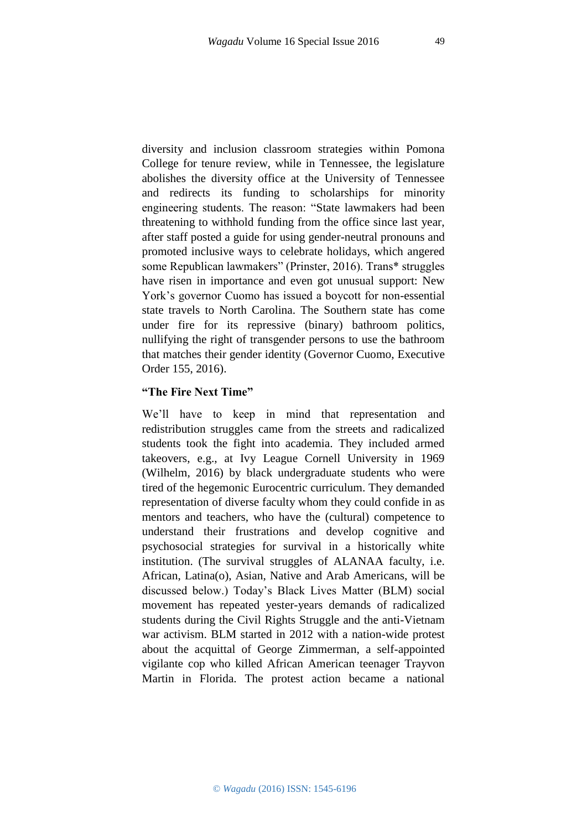diversity and inclusion classroom strategies within Pomona College for tenure review, while in Tennessee, the legislature abolishes the diversity office at the University of Tennessee and redirects its funding to scholarships for minority engineering students. The reason: "State lawmakers had been threatening to withhold funding from the office since last year, after staff posted a guide for using gender-neutral pronouns and promoted inclusive ways to celebrate holidays, which angered some Republican lawmakers" (Prinster, 2016). Trans\* struggles have risen in importance and even got unusual support: New York's governor Cuomo has issued a boycott for non-essential state travels to North Carolina. The Southern state has come under fire for its repressive (binary) bathroom politics, nullifying the right of transgender persons to use the bathroom that matches their gender identity (Governor Cuomo, Executive Order 155, 2016).

### **"The Fire Next Time"**

We'll have to keep in mind that representation and redistribution struggles came from the streets and radicalized students took the fight into academia. They included armed takeovers, e.g., at Ivy League Cornell University in 1969 (Wilhelm, 2016) by black undergraduate students who were tired of the hegemonic Eurocentric curriculum. They demanded representation of diverse faculty whom they could confide in as mentors and teachers, who have the (cultural) competence to understand their frustrations and develop cognitive and psychosocial strategies for survival in a historically white institution. (The survival struggles of ALANAA faculty, i.e. African, Latina(o), Asian, Native and Arab Americans, will be discussed below.) Today's Black Lives Matter (BLM) social movement has repeated yester-years demands of radicalized students during the Civil Rights Struggle and the anti-Vietnam war activism. BLM started in 2012 with a nation-wide protest about the acquittal of George Zimmerman, a self-appointed vigilante cop who killed African American teenager Trayvon Martin in Florida. The protest action became a national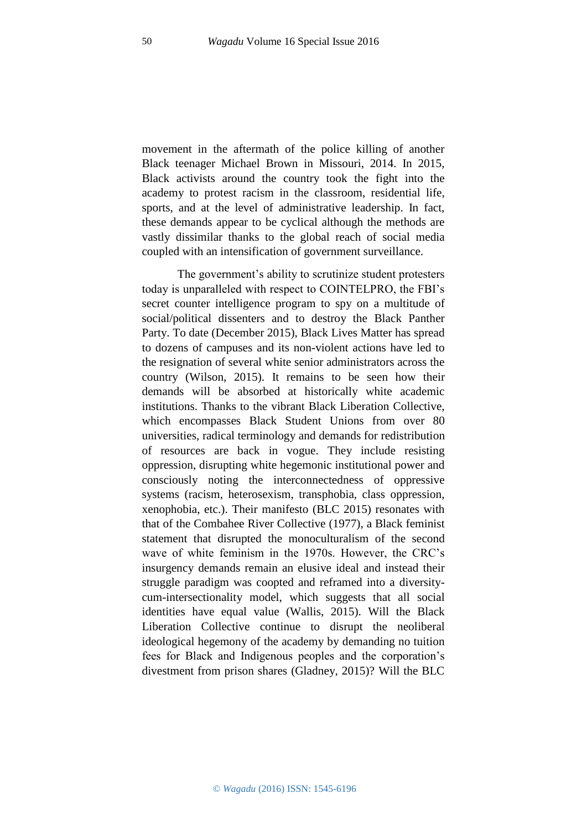movement in the aftermath of the police killing of another Black teenager Michael Brown in Missouri, 2014. In 2015, Black activists around the country took the fight into the academy to protest racism in the classroom, residential life, sports, and at the level of administrative leadership. In fact, these demands appear to be cyclical although the methods are vastly dissimilar thanks to the global reach of social media coupled with an intensification of government surveillance.

The government's ability to scrutinize student protesters today is unparalleled with respect to COINTELPRO, the FBI's secret counter intelligence program to spy on a multitude of social/political dissenters and to destroy the Black Panther Party. To date (December 2015), Black Lives Matter has spread to dozens of campuses and its non-violent actions have led to the resignation of several white senior administrators across the country (Wilson, 2015). It remains to be seen how their demands will be absorbed at historically white academic institutions. Thanks to the vibrant Black Liberation Collective, which encompasses Black Student Unions from over 80 universities, radical terminology and demands for redistribution of resources are back in vogue. They include resisting oppression, disrupting white hegemonic institutional power and consciously noting the interconnectedness of oppressive systems (racism, heterosexism, transphobia, class oppression, xenophobia, etc.). Their manifesto (BLC 2015) resonates with that of the Combahee River Collective (1977), a Black feminist statement that disrupted the monoculturalism of the second wave of white feminism in the 1970s. However, the CRC's insurgency demands remain an elusive ideal and instead their struggle paradigm was coopted and reframed into a diversitycum-intersectionality model, which suggests that all social identities have equal value (Wallis, 2015). Will the Black Liberation Collective continue to disrupt the neoliberal ideological hegemony of the academy by demanding no tuition fees for Black and Indigenous peoples and the corporation's divestment from prison shares (Gladney, 2015)? Will the BLC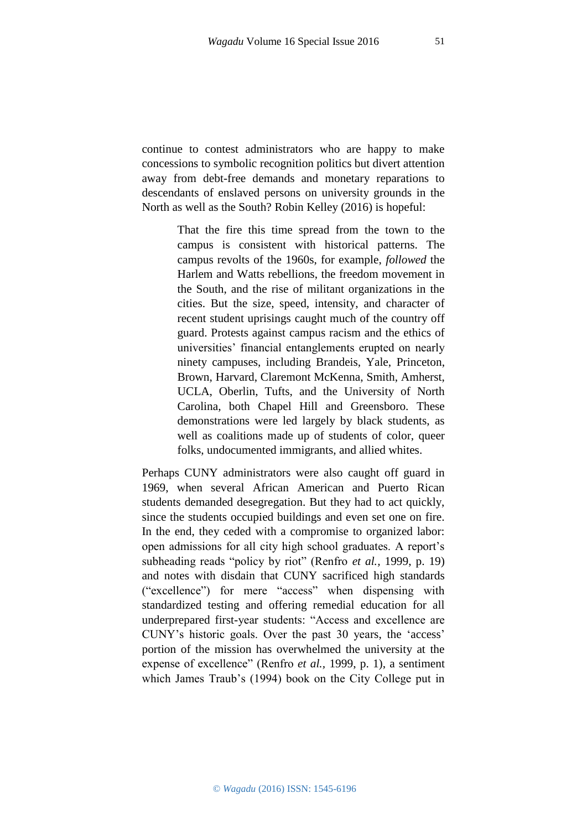continue to contest administrators who are happy to make concessions to symbolic recognition politics but divert attention away from debt-free demands and monetary reparations to descendants of enslaved persons on university grounds in the North as well as the South? Robin Kelley (2016) is hopeful:

> That the fire this time spread from the town to the campus is consistent with historical patterns. The campus revolts of the 1960s, for example, *followed* the Harlem and Watts rebellions, the freedom movement in the South, and the rise of militant organizations in the cities. But the size, speed, intensity, and character of recent student uprisings caught much of the country off guard. Protests against campus racism and the ethics of universities' financial entanglements erupted on nearly ninety campuses, including Brandeis, Yale, Princeton, Brown, Harvard, Claremont McKenna, Smith, Amherst, UCLA, Oberlin, Tufts, and the University of North Carolina, both Chapel Hill and Greensboro. These demonstrations were led largely by black students, as well as coalitions made up of students of color, queer folks, undocumented immigrants, and allied whites.

Perhaps CUNY administrators were also caught off guard in 1969, when several African American and Puerto Rican students demanded desegregation. But they had to act quickly, since the students occupied buildings and even set one on fire. In the end, they ceded with a compromise to organized labor: open admissions for all city high school graduates. A report's subheading reads "policy by riot" (Renfro *et al.,* 1999, p. 19) and notes with disdain that CUNY sacrificed high standards ("excellence") for mere "access" when dispensing with standardized testing and offering remedial education for all underprepared first-year students: "Access and excellence are CUNY's historic goals. Over the past 30 years, the 'access' portion of the mission has overwhelmed the university at the expense of excellence" (Renfro *et al.,* 1999, p. 1), a sentiment which James Traub's (1994) book on the City College put in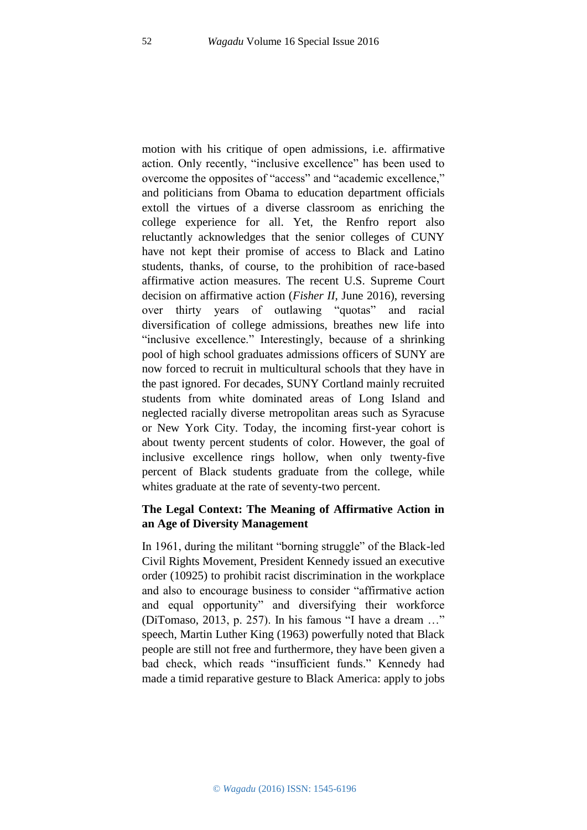motion with his critique of open admissions, i.e. affirmative action. Only recently, "inclusive excellence" has been used to overcome the opposites of "access" and "academic excellence," and politicians from Obama to education department officials extoll the virtues of a diverse classroom as enriching the college experience for all. Yet, the Renfro report also reluctantly acknowledges that the senior colleges of CUNY have not kept their promise of access to Black and Latino students, thanks, of course, to the prohibition of race-based affirmative action measures. The recent U.S. Supreme Court decision on affirmative action (*Fisher II*, June 2016), reversing over thirty years of outlawing "quotas" and racial diversification of college admissions, breathes new life into "inclusive excellence." Interestingly, because of a shrinking pool of high school graduates admissions officers of SUNY are now forced to recruit in multicultural schools that they have in the past ignored. For decades, SUNY Cortland mainly recruited students from white dominated areas of Long Island and neglected racially diverse metropolitan areas such as Syracuse or New York City. Today, the incoming first-year cohort is about twenty percent students of color. However, the goal of inclusive excellence rings hollow, when only twenty-five percent of Black students graduate from the college, while whites graduate at the rate of seventy-two percent.

### **The Legal Context: The Meaning of Affirmative Action in an Age of Diversity Management**

In 1961, during the militant "borning struggle" of the Black-led Civil Rights Movement, President Kennedy issued an executive order (10925) to prohibit racist discrimination in the workplace and also to encourage business to consider "affirmative action and equal opportunity" and diversifying their workforce (DiTomaso, 2013, p. 257). In his famous "I have a dream …" speech, Martin Luther King (1963) powerfully noted that Black people are still not free and furthermore, they have been given a bad check, which reads "insufficient funds." Kennedy had made a timid reparative gesture to Black America: apply to jobs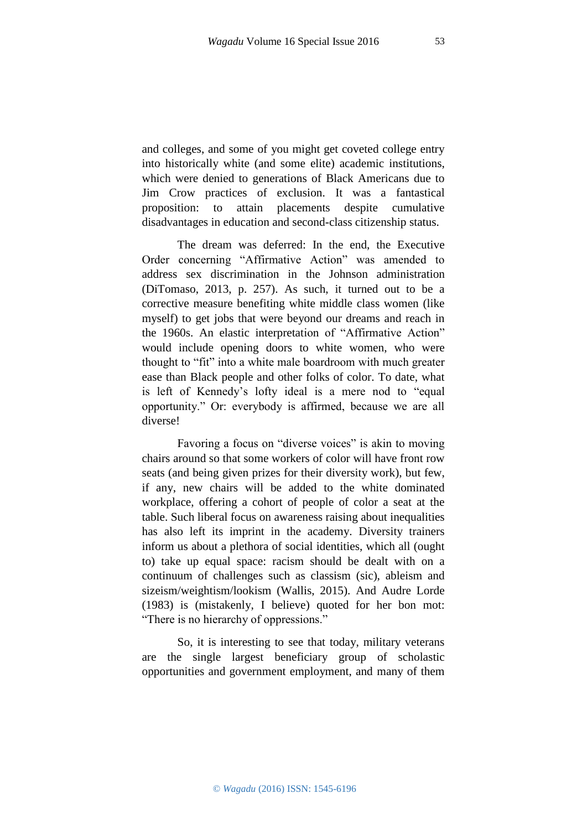and colleges, and some of you might get coveted college entry into historically white (and some elite) academic institutions, which were denied to generations of Black Americans due to Jim Crow practices of exclusion. It was a fantastical proposition: to attain placements despite cumulative disadvantages in education and second-class citizenship status.

The dream was deferred: In the end, the Executive Order concerning "Affirmative Action" was amended to address sex discrimination in the Johnson administration (DiTomaso, 2013, p. 257). As such, it turned out to be a corrective measure benefiting white middle class women (like myself) to get jobs that were beyond our dreams and reach in the 1960s. An elastic interpretation of "Affirmative Action" would include opening doors to white women, who were thought to "fit" into a white male boardroom with much greater ease than Black people and other folks of color. To date, what is left of Kennedy's lofty ideal is a mere nod to "equal opportunity." Or: everybody is affirmed, because we are all diverse!

Favoring a focus on "diverse voices" is akin to moving chairs around so that some workers of color will have front row seats (and being given prizes for their diversity work), but few, if any, new chairs will be added to the white dominated workplace, offering a cohort of people of color a seat at the table. Such liberal focus on awareness raising about inequalities has also left its imprint in the academy. Diversity trainers inform us about a plethora of social identities, which all (ought to) take up equal space: racism should be dealt with on a continuum of challenges such as classism (sic), ableism and sizeism/weightism/lookism (Wallis, 2015). And Audre Lorde (1983) is (mistakenly, I believe) quoted for her bon mot: "There is no hierarchy of oppressions."

So, it is interesting to see that today, military veterans are the single largest beneficiary group of scholastic opportunities and government employment, and many of them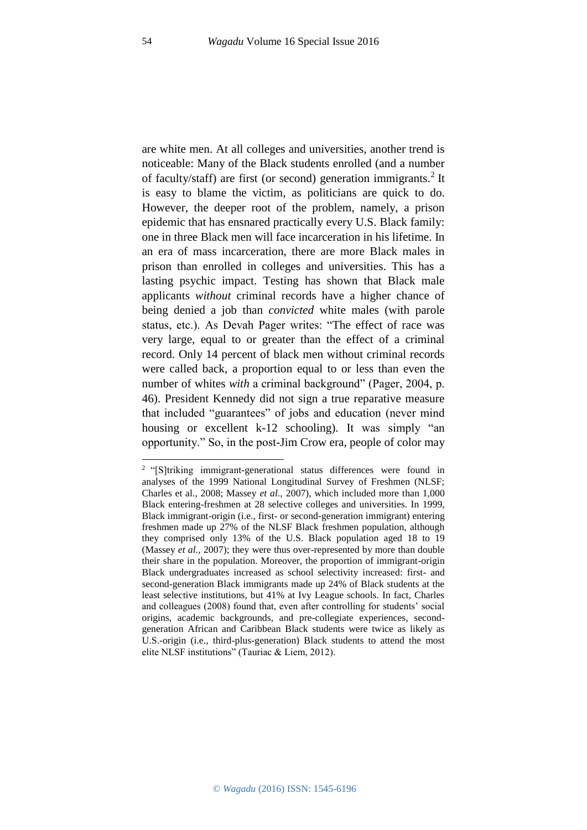are white men. At all colleges and universities, another trend is noticeable: Many of the Black students enrolled (and a number of faculty/staff) are first (or second) generation immigrants.<sup>2</sup> It is easy to blame the victim, as politicians are quick to do. However, the deeper root of the problem, namely, a prison epidemic that has ensnared practically every U.S. Black family: one in three Black men will face incarceration in his lifetime. In an era of mass incarceration, there are more Black males in prison than enrolled in colleges and universities. This has a lasting psychic impact. Testing has shown that Black male applicants *without* criminal records have a higher chance of being denied a job than *convicted* white males (with parole status, etc.). As Devah Pager writes: "The effect of race was very large, equal to or greater than the effect of a criminal record. Only 14 percent of black men without criminal records were called back, a proportion equal to or less than even the number of whites *with* a criminal background" (Pager, 2004, p. 46). President Kennedy did not sign a true reparative measure that included "guarantees" of jobs and education (never mind housing or excellent k-12 schooling). It was simply "an opportunity." So, in the post-Jim Crow era, people of color may

1

<sup>&</sup>lt;sup>2</sup> "[S]triking immigrant-generational status differences were found in analyses of the 1999 National Longitudinal Survey of Freshmen (NLSF; Charles et al., 2008; Massey *et al.,* 2007), which included more than 1,000 Black entering-freshmen at 28 selective colleges and universities. In 1999, Black immigrant-origin (i.e., first- or second-generation immigrant) entering freshmen made up 27% of the NLSF Black freshmen population, although they comprised only 13% of the U.S. Black population aged 18 to 19 (Massey *et al.,* 2007); they were thus over-represented by more than double their share in the population. Moreover, the proportion of immigrant-origin Black undergraduates increased as school selectivity increased: first- and second-generation Black immigrants made up 24% of Black students at the least selective institutions, but 41% at Ivy League schools. In fact, Charles and colleagues (2008) found that, even after controlling for students' social origins, academic backgrounds, and pre-collegiate experiences, secondgeneration African and Caribbean Black students were twice as likely as U.S.-origin (i.e., third-plus-generation) Black students to attend the most elite NLSF institutions" (Tauriac & Liem, 2012).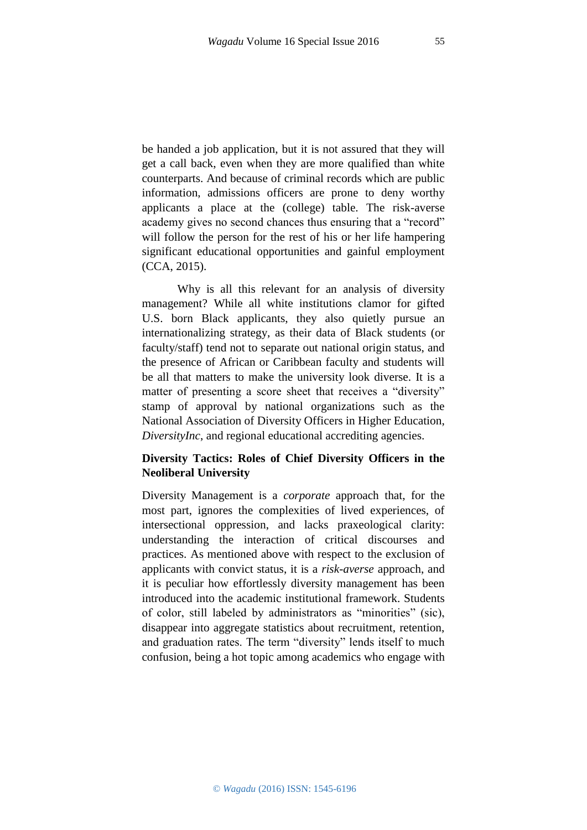be handed a job application, but it is not assured that they will get a call back, even when they are more qualified than white counterparts. And because of criminal records which are public information, admissions officers are prone to deny worthy applicants a place at the (college) table. The risk-averse academy gives no second chances thus ensuring that a "record" will follow the person for the rest of his or her life hampering significant educational opportunities and gainful employment (CCA, 2015).

Why is all this relevant for an analysis of diversity management? While all white institutions clamor for gifted U.S. born Black applicants, they also quietly pursue an internationalizing strategy, as their data of Black students (or faculty/staff) tend not to separate out national origin status, and the presence of African or Caribbean faculty and students will be all that matters to make the university look diverse. It is a matter of presenting a score sheet that receives a "diversity" stamp of approval by national organizations such as the National Association of Diversity Officers in Higher Education, *DiversityInc*, and regional educational accrediting agencies.

### **Diversity Tactics: Roles of Chief Diversity Officers in the Neoliberal University**

Diversity Management is a *corporate* approach that, for the most part, ignores the complexities of lived experiences, of intersectional oppression, and lacks praxeological clarity: understanding the interaction of critical discourses and practices. As mentioned above with respect to the exclusion of applicants with convict status, it is a *risk-averse* approach, and it is peculiar how effortlessly diversity management has been introduced into the academic institutional framework. Students of color, still labeled by administrators as "minorities" (sic), disappear into aggregate statistics about recruitment, retention, and graduation rates. The term "diversity" lends itself to much confusion, being a hot topic among academics who engage with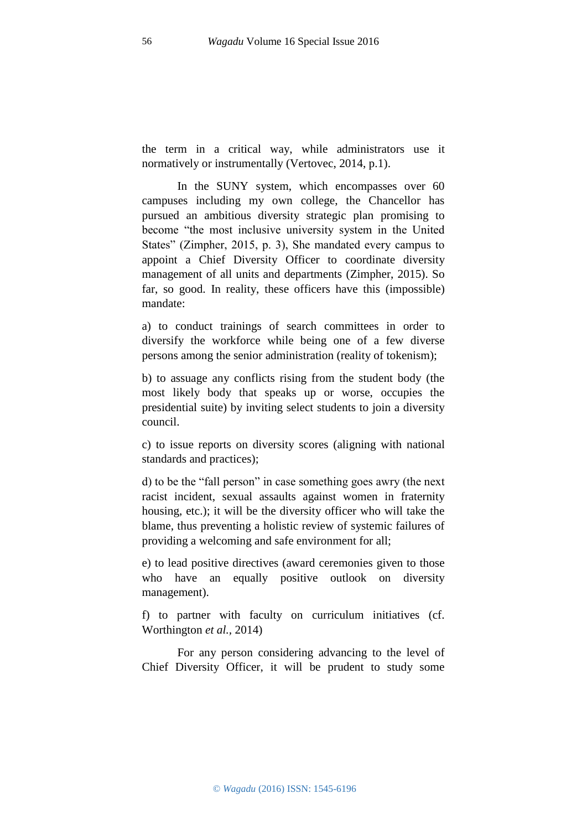the term in a critical way, while administrators use it normatively or instrumentally (Vertovec, 2014, p.1).

In the SUNY system, which encompasses over 60 campuses including my own college, the Chancellor has pursued an ambitious diversity strategic plan promising to become "the most inclusive university system in the United States" (Zimpher, 2015, p. 3), She mandated every campus to appoint a Chief Diversity Officer to coordinate diversity management of all units and departments (Zimpher, 2015). So far, so good. In reality, these officers have this (impossible) mandate:

a) to conduct trainings of search committees in order to diversify the workforce while being one of a few diverse persons among the senior administration (reality of tokenism);

b) to assuage any conflicts rising from the student body (the most likely body that speaks up or worse, occupies the presidential suite) by inviting select students to join a diversity council.

c) to issue reports on diversity scores (aligning with national standards and practices);

d) to be the "fall person" in case something goes awry (the next racist incident, sexual assaults against women in fraternity housing, etc.); it will be the diversity officer who will take the blame, thus preventing a holistic review of systemic failures of providing a welcoming and safe environment for all;

e) to lead positive directives (award ceremonies given to those who have an equally positive outlook on diversity management).

f) to partner with faculty on curriculum initiatives (cf. Worthington *et al.,* 2014)

For any person considering advancing to the level of Chief Diversity Officer, it will be prudent to study some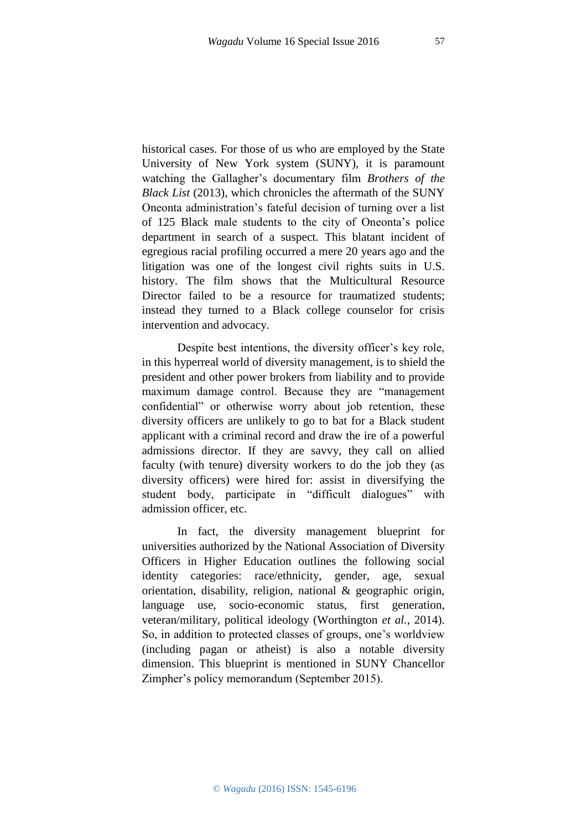historical cases. For those of us who are employed by the State University of New York system (SUNY), it is paramount watching the Gallagher's documentary film *Brothers of the Black List* (2013), which chronicles the aftermath of the SUNY Oneonta administration's fateful decision of turning over a list of 125 Black male students to the city of Oneonta's police department in search of a suspect. This blatant incident of egregious racial profiling occurred a mere 20 years ago and the litigation was one of the longest civil rights suits in U.S. history. The film shows that the Multicultural Resource Director failed to be a resource for traumatized students; instead they turned to a Black college counselor for crisis intervention and advocacy.

Despite best intentions, the diversity officer's key role, in this hyperreal world of diversity management, is to shield the president and other power brokers from liability and to provide maximum damage control. Because they are "management confidential" or otherwise worry about job retention, these diversity officers are unlikely to go to bat for a Black student applicant with a criminal record and draw the ire of a powerful admissions director. If they are savvy, they call on allied faculty (with tenure) diversity workers to do the job they (as diversity officers) were hired for: assist in diversifying the student body, participate in "difficult dialogues" with admission officer, etc.

In fact, the diversity management blueprint for universities authorized by the National Association of Diversity Officers in Higher Education outlines the following social identity categories: race/ethnicity, gender, age, sexual orientation, disability, religion, national & geographic origin, language use, socio-economic status, first generation, veteran/military, political ideology (Worthington *et al.,* 2014). So, in addition to protected classes of groups, one's worldview (including pagan or atheist) is also a notable diversity dimension. This blueprint is mentioned in SUNY Chancellor Zimpher's policy memorandum (September 2015).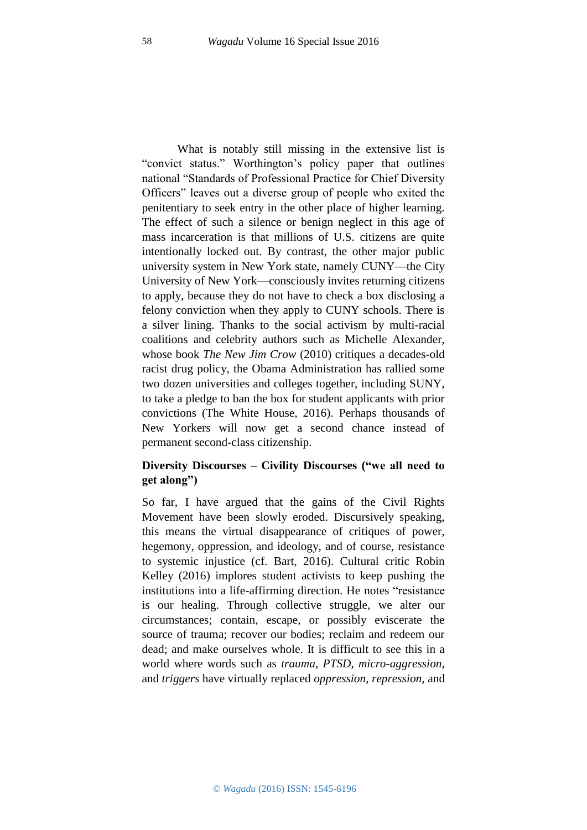What is notably still missing in the extensive list is "convict status." Worthington's policy paper that outlines national "Standards of Professional Practice for Chief Diversity Officers" leaves out a diverse group of people who exited the penitentiary to seek entry in the other place of higher learning. The effect of such a silence or benign neglect in this age of mass incarceration is that millions of U.S. citizens are quite intentionally locked out. By contrast, the other major public university system in New York state, namely CUNY—the City University of New York—consciously invites returning citizens to apply, because they do not have to check a box disclosing a felony conviction when they apply to CUNY schools. There is a silver lining. Thanks to the social activism by multi-racial coalitions and celebrity authors such as Michelle Alexander, whose book *The New Jim Crow* (2010) critiques a decades-old racist drug policy, the Obama Administration has rallied some two dozen universities and colleges together, including SUNY, to take a pledge to ban the box for student applicants with prior convictions (The White House, 2016). Perhaps thousands of New Yorkers will now get a second chance instead of permanent second-class citizenship.

# **Diversity Discourses – Civility Discourses ("we all need to get along")**

So far, I have argued that the gains of the Civil Rights Movement have been slowly eroded. Discursively speaking, this means the virtual disappearance of critiques of power, hegemony, oppression, and ideology, and of course, resistance to systemic injustice (cf. Bart, 2016). Cultural critic Robin Kelley (2016) implores student activists to keep pushing the institutions into a life-affirming direction. He notes "resistance is our healing. Through collective struggle, we alter our circumstances; contain, escape, or possibly eviscerate the source of trauma; recover our bodies; reclaim and redeem our dead; and make ourselves whole. It is difficult to see this in a world where words such as *trauma, PTSD, micro-aggression*, and *triggers* have virtually replaced *oppression, repression,* and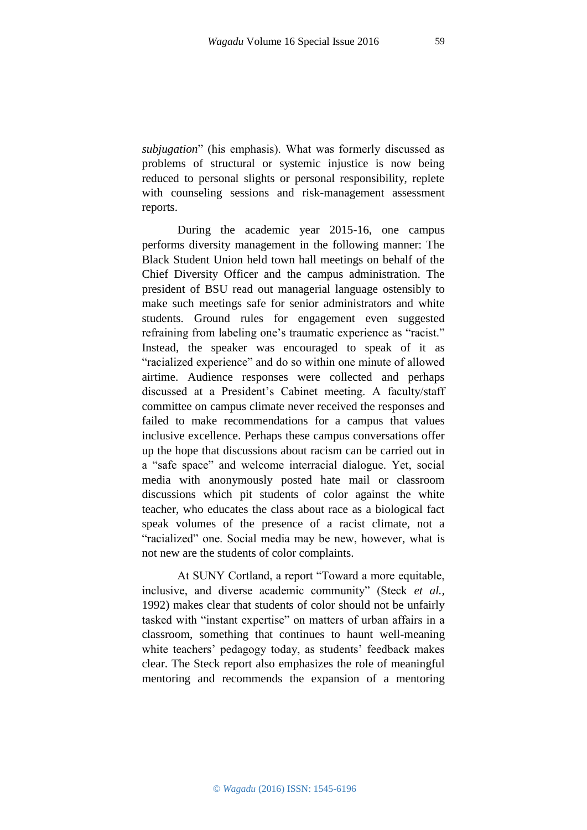*subjugation*" (his emphasis). What was formerly discussed as problems of structural or systemic injustice is now being reduced to personal slights or personal responsibility, replete with counseling sessions and risk-management assessment reports.

During the academic year 2015-16, one campus performs diversity management in the following manner: The Black Student Union held town hall meetings on behalf of the Chief Diversity Officer and the campus administration. The president of BSU read out managerial language ostensibly to make such meetings safe for senior administrators and white students. Ground rules for engagement even suggested refraining from labeling one's traumatic experience as "racist." Instead, the speaker was encouraged to speak of it as "racialized experience" and do so within one minute of allowed airtime. Audience responses were collected and perhaps discussed at a President's Cabinet meeting. A faculty/staff committee on campus climate never received the responses and failed to make recommendations for a campus that values inclusive excellence. Perhaps these campus conversations offer up the hope that discussions about racism can be carried out in a "safe space" and welcome interracial dialogue. Yet, social media with anonymously posted hate mail or classroom discussions which pit students of color against the white teacher, who educates the class about race as a biological fact speak volumes of the presence of a racist climate, not a "racialized" one. Social media may be new, however, what is not new are the students of color complaints.

At SUNY Cortland, a report "Toward a more equitable, inclusive, and diverse academic community" (Steck *et al.,* 1992) makes clear that students of color should not be unfairly tasked with "instant expertise" on matters of urban affairs in a classroom, something that continues to haunt well-meaning white teachers' pedagogy today, as students' feedback makes clear. The Steck report also emphasizes the role of meaningful mentoring and recommends the expansion of a mentoring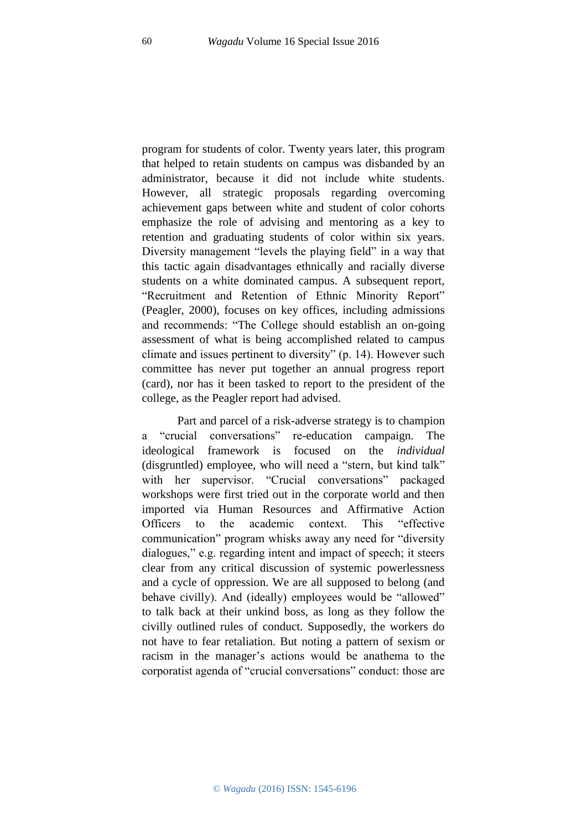program for students of color. Twenty years later, this program that helped to retain students on campus was disbanded by an administrator, because it did not include white students. However, all strategic proposals regarding overcoming achievement gaps between white and student of color cohorts emphasize the role of advising and mentoring as a key to retention and graduating students of color within six years. Diversity management "levels the playing field" in a way that this tactic again disadvantages ethnically and racially diverse students on a white dominated campus. A subsequent report, "Recruitment and Retention of Ethnic Minority Report" (Peagler, 2000), focuses on key offices, including admissions and recommends: "The College should establish an on-going assessment of what is being accomplished related to campus climate and issues pertinent to diversity" (p. 14). However such committee has never put together an annual progress report (card), nor has it been tasked to report to the president of the college, as the Peagler report had advised.

Part and parcel of a risk-adverse strategy is to champion a "crucial conversations" re-education campaign. The ideological framework is focused on the *individual* (disgruntled) employee, who will need a "stern, but kind talk" with her supervisor. "Crucial conversations" packaged workshops were first tried out in the corporate world and then imported via Human Resources and Affirmative Action Officers to the academic context. This "effective communication" program whisks away any need for "diversity dialogues," e.g. regarding intent and impact of speech; it steers clear from any critical discussion of systemic powerlessness and a cycle of oppression. We are all supposed to belong (and behave civilly). And (ideally) employees would be "allowed" to talk back at their unkind boss, as long as they follow the civilly outlined rules of conduct. Supposedly, the workers do not have to fear retaliation. But noting a pattern of sexism or racism in the manager's actions would be anathema to the corporatist agenda of "crucial conversations" conduct: those are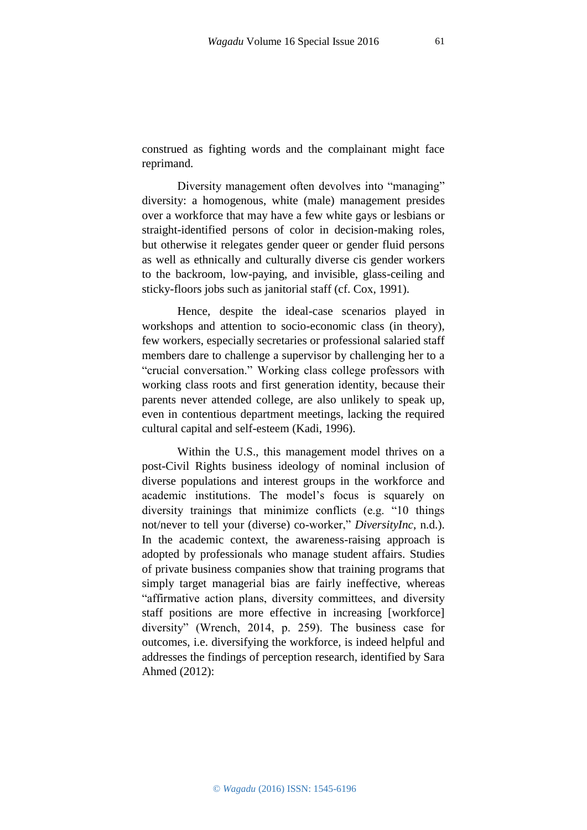construed as fighting words and the complainant might face reprimand.

Diversity management often devolves into "managing" diversity: a homogenous, white (male) management presides over a workforce that may have a few white gays or lesbians or straight-identified persons of color in decision-making roles, but otherwise it relegates gender queer or gender fluid persons as well as ethnically and culturally diverse cis gender workers to the backroom, low-paying, and invisible, glass-ceiling and sticky-floors jobs such as janitorial staff (cf. Cox, 1991).

Hence, despite the ideal-case scenarios played in workshops and attention to socio-economic class (in theory), few workers, especially secretaries or professional salaried staff members dare to challenge a supervisor by challenging her to a "crucial conversation." Working class college professors with working class roots and first generation identity, because their parents never attended college, are also unlikely to speak up, even in contentious department meetings, lacking the required cultural capital and self-esteem (Kadi, 1996).

Within the U.S., this management model thrives on a post-Civil Rights business ideology of nominal inclusion of diverse populations and interest groups in the workforce and academic institutions. The model's focus is squarely on diversity trainings that minimize conflicts (e.g. "10 things not/never to tell your (diverse) co-worker," *DiversityInc*, n.d.). In the academic context, the awareness-raising approach is adopted by professionals who manage student affairs. Studies of private business companies show that training programs that simply target managerial bias are fairly ineffective, whereas "affirmative action plans, diversity committees, and diversity staff positions are more effective in increasing [workforce] diversity" (Wrench, 2014, p. 259). The business case for outcomes, i.e. diversifying the workforce, is indeed helpful and addresses the findings of perception research, identified by Sara Ahmed (2012):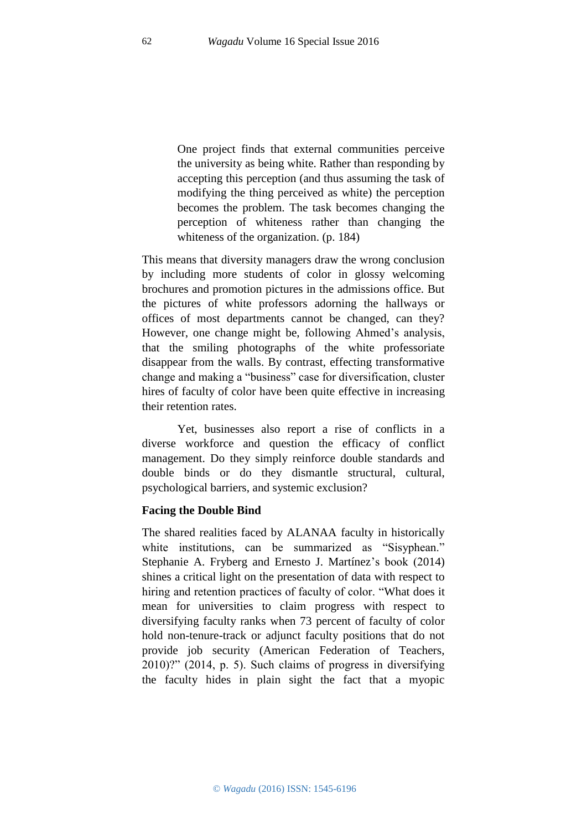One project finds that external communities perceive the university as being white. Rather than responding by accepting this perception (and thus assuming the task of modifying the thing perceived as white) the perception becomes the problem. The task becomes changing the perception of whiteness rather than changing the whiteness of the organization. (p. 184)

This means that diversity managers draw the wrong conclusion by including more students of color in glossy welcoming brochures and promotion pictures in the admissions office. But the pictures of white professors adorning the hallways or offices of most departments cannot be changed, can they? However, one change might be, following Ahmed's analysis, that the smiling photographs of the white professoriate disappear from the walls. By contrast, effecting transformative change and making a "business" case for diversification, cluster hires of faculty of color have been quite effective in increasing their retention rates.

Yet, businesses also report a rise of conflicts in a diverse workforce and question the efficacy of conflict management. Do they simply reinforce double standards and double binds or do they dismantle structural, cultural, psychological barriers, and systemic exclusion?

### **Facing the Double Bind**

The shared realities faced by ALANAA faculty in historically white institutions, can be summarized as "Sisyphean." Stephanie A. Fryberg and Ernesto J. Martínez's book (2014) shines a critical light on the presentation of data with respect to hiring and retention practices of faculty of color. "What does it mean for universities to claim progress with respect to diversifying faculty ranks when 73 percent of faculty of color hold non-tenure-track or adjunct faculty positions that do not provide job security (American Federation of Teachers, 2010)?" (2014, p. 5). Such claims of progress in diversifying the faculty hides in plain sight the fact that a myopic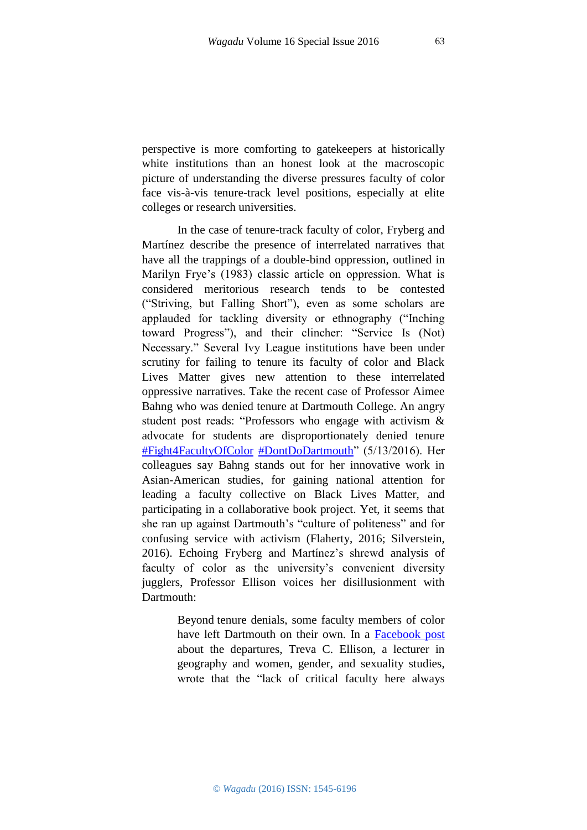perspective is more comforting to gatekeepers at historically white institutions than an honest look at the macroscopic picture of understanding the diverse pressures faculty of color face vis-à-vis tenure-track level positions, especially at elite colleges or research universities.

In the case of tenure-track faculty of color, Fryberg and Martínez describe the presence of interrelated narratives that have all the trappings of a double-bind oppression, outlined in Marilyn Frye's (1983) classic article on oppression. What is considered meritorious research tends to be contested ("Striving, but Falling Short"), even as some scholars are applauded for tackling diversity or ethnography ("Inching toward Progress"), and their clincher: "Service Is (Not) Necessary." Several Ivy League institutions have been under scrutiny for failing to tenure its faculty of color and Black Lives Matter gives new attention to these interrelated oppressive narratives. Take the recent case of Professor Aimee Bahng who was denied tenure at Dartmouth College. An angry student post reads: "Professors who engage with activism & advocate for students are disproportionately denied tenure [#Fight4FacultyOfColor](https://twitter.com/hashtag/Fight4FacultyOfColor?src=hash) [#DontDoDartmouth"](https://twitter.com/hashtag/DontDoDartmouth?src=hash) (5/13/2016). Her colleagues say Bahng stands out for her innovative work in Asian-American studies, for gaining national attention for leading a faculty collective on Black Lives Matter, and participating in a collaborative book project. Yet, it seems that she ran up against Dartmouth's "culture of politeness" and for confusing service with activism (Flaherty, 2016; Silverstein, 2016). Echoing Fryberg and Martínez's shrewd analysis of faculty of color as the university's convenient diversity jugglers, Professor Ellison voices her disillusionment with Dartmouth:

> Beyond tenure denials, some faculty members of color have left Dartmouth on their own. In a [Facebook post](https://www.facebook.com/photo.php?fbid=10106249273457710&set=a.10100341160762910.2960440.1901648&type=3&theater) about the departures, Treva C. Ellison, a lecturer in geography and women, gender, and sexuality studies, wrote that the "lack of critical faculty here always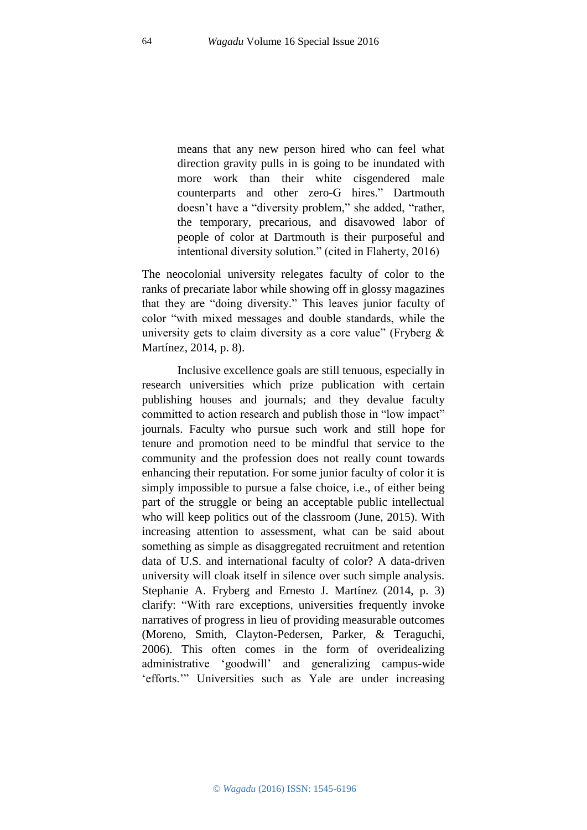means that any new person hired who can feel what direction gravity pulls in is going to be inundated with more work than their white cisgendered male counterparts and other zero-G hires." Dartmouth doesn't have a "diversity problem," she added, "rather, the temporary, precarious, and disavowed labor of people of color at Dartmouth is their purposeful and intentional diversity solution." (cited in Flaherty, 2016)

The neocolonial university relegates faculty of color to the ranks of precariate labor while showing off in glossy magazines that they are "doing diversity." This leaves junior faculty of color "with mixed messages and double standards, while the university gets to claim diversity as a core value" (Fryberg & Martínez, 2014, p. 8).

Inclusive excellence goals are still tenuous, especially in research universities which prize publication with certain publishing houses and journals; and they devalue faculty committed to action research and publish those in "low impact" journals. Faculty who pursue such work and still hope for tenure and promotion need to be mindful that service to the community and the profession does not really count towards enhancing their reputation. For some junior faculty of color it is simply impossible to pursue a false choice, i.e., of either being part of the struggle or being an acceptable public intellectual who will keep politics out of the classroom (June, 2015). With increasing attention to assessment, what can be said about something as simple as disaggregated recruitment and retention data of U.S. and international faculty of color? A data-driven university will cloak itself in silence over such simple analysis. Stephanie A. Fryberg and Ernesto J. Martínez (2014, p. 3) clarify: "With rare exceptions, universities frequently invoke narratives of progress in lieu of providing measurable outcomes (Moreno, Smith, Clayton-Pedersen, Parker, & Teraguchi, 2006). This often comes in the form of overidealizing administrative 'goodwill' and generalizing campus-wide 'efforts.'" Universities such as Yale are under increasing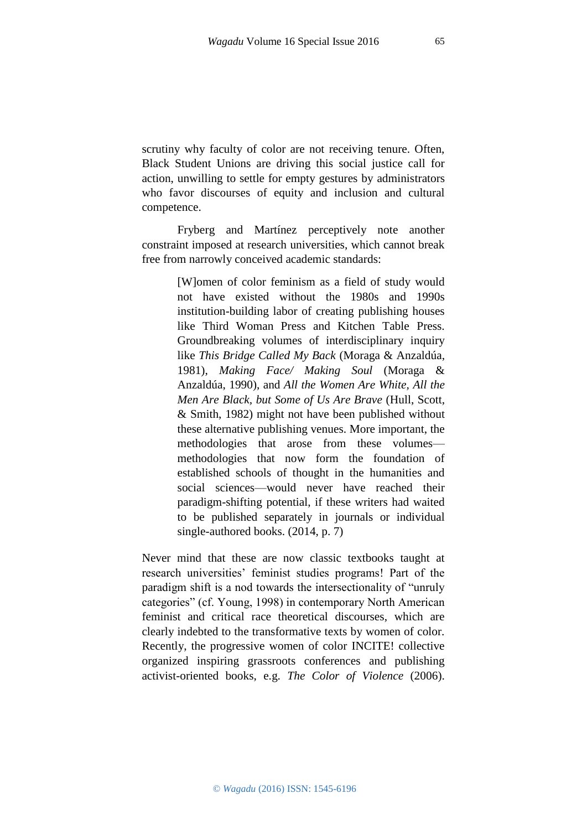scrutiny why faculty of color are not receiving tenure. Often, Black Student Unions are driving this social justice call for action, unwilling to settle for empty gestures by administrators who favor discourses of equity and inclusion and cultural competence.

Fryberg and Martínez perceptively note another constraint imposed at research universities, which cannot break free from narrowly conceived academic standards:

> [W]omen of color feminism as a field of study would not have existed without the 1980s and 1990s institution-building labor of creating publishing houses like Third Woman Press and Kitchen Table Press. Groundbreaking volumes of interdisciplinary inquiry like *This Bridge Called My Back* (Moraga & Anzaldúa, 1981), *Making Face/ Making Soul* (Moraga & Anzaldúa, 1990), and *All the Women Are White, All the Men Are Black, but Some of Us Are Brave* (Hull, Scott, & Smith, 1982) might not have been published without these alternative publishing venues. More important, the methodologies that arose from these volumes methodologies that now form the foundation of established schools of thought in the humanities and social sciences—would never have reached their paradigm-shifting potential, if these writers had waited to be published separately in journals or individual single-authored books. (2014, p. 7)

Never mind that these are now classic textbooks taught at research universities' feminist studies programs! Part of the paradigm shift is a nod towards the intersectionality of "unruly categories" (cf. Young, 1998) in contemporary North American feminist and critical race theoretical discourses, which are clearly indebted to the transformative texts by women of color. Recently, the progressive women of color INCITE! collective organized inspiring grassroots conferences and publishing activist-oriented books, e.g. *The Color of Violence* (2006).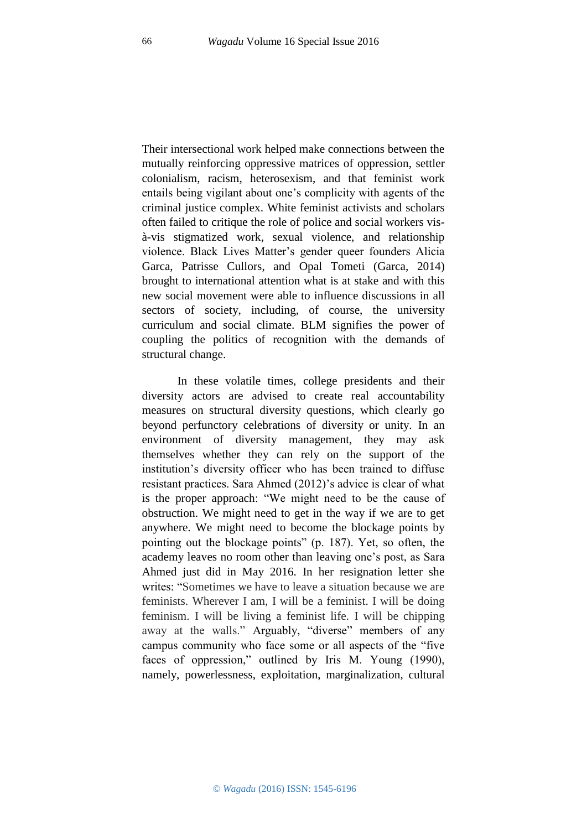Their intersectional work helped make connections between the mutually reinforcing oppressive matrices of oppression, settler colonialism, racism, heterosexism, and that feminist work entails being vigilant about one's complicity with agents of the criminal justice complex. White feminist activists and scholars often failed to critique the role of police and social workers visà-vis stigmatized work, sexual violence, and relationship violence. Black Lives Matter's gender queer founders Alicia Garca, Patrisse Cullors, and Opal Tometi (Garca, 2014) brought to international attention what is at stake and with this new social movement were able to influence discussions in all sectors of society, including, of course, the university curriculum and social climate. BLM signifies the power of coupling the politics of recognition with the demands of structural change.

In these volatile times, college presidents and their diversity actors are advised to create real accountability measures on structural diversity questions, which clearly go beyond perfunctory celebrations of diversity or unity. In an environment of diversity management, they may ask themselves whether they can rely on the support of the institution's diversity officer who has been trained to diffuse resistant practices. Sara Ahmed (2012)'s advice is clear of what is the proper approach: "We might need to be the cause of obstruction. We might need to get in the way if we are to get anywhere. We might need to become the blockage points by pointing out the blockage points" (p. 187). Yet, so often, the academy leaves no room other than leaving one's post, as Sara Ahmed just did in May 2016. In her resignation letter she writes: "Sometimes we have to leave a situation because we are feminists. Wherever I am, I will be a feminist. I will be doing feminism. I will be living a feminist life. I will be chipping away at the walls." Arguably, "diverse" members of any campus community who face some or all aspects of the "five faces of oppression," outlined by Iris M. Young (1990), namely, powerlessness, exploitation, marginalization, cultural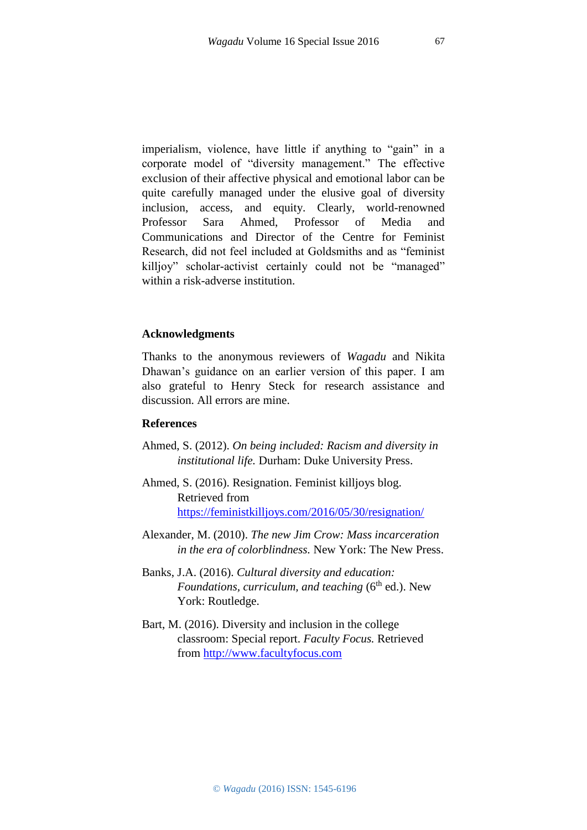imperialism, violence, have little if anything to "gain" in a corporate model of "diversity management." The effective exclusion of their affective physical and emotional labor can be quite carefully managed under the elusive goal of diversity inclusion, access, and equity. Clearly, world-renowned Professor Sara Ahmed, Professor of Media and Communications and Director of the Centre for Feminist Research, did not feel included at Goldsmiths and as "feminist killjoy" scholar-activist certainly could not be "managed" within a risk-adverse institution.

### **Acknowledgments**

Thanks to the anonymous reviewers of *Wagadu* and Nikita Dhawan's guidance on an earlier version of this paper. I am also grateful to Henry Steck for research assistance and discussion. All errors are mine.

### **References**

- Ahmed, S. (2012). *On being included: Racism and diversity in institutional life.* Durham: Duke University Press.
- Ahmed, S. (2016). Resignation. Feminist killjoys blog. Retrieved from <https://feministkilljoys.com/2016/05/30/resignation/>
- Alexander, M. (2010). *The new Jim Crow: Mass incarceration in the era of colorblindness.* New York: The New Press.
- Banks, J.A. (2016). *Cultural diversity and education: Foundations, curriculum, and teaching* (6<sup>th</sup> ed.). New York: Routledge.
- Bart, M. (2016). Diversity and inclusion in the college classroom: Special report. *Faculty Focus.* Retrieved from [http://www.facultyfocus.com](http://www.facultyfocus.com/)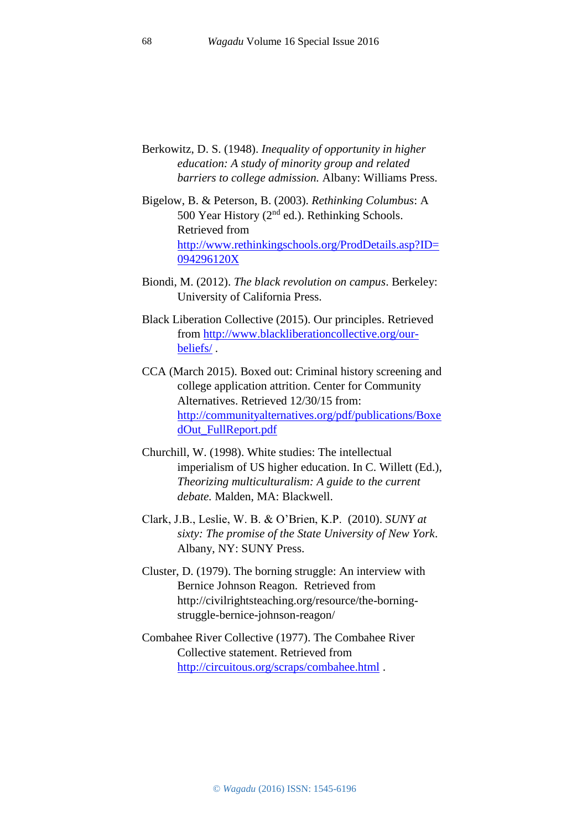- Berkowitz, D. S. (1948). *Inequality of opportunity in higher education: A study of minority group and related barriers to college admission.* Albany: Williams Press.
- Bigelow, B. & Peterson, B. (2003). *Rethinking Columbus*: A 500 Year History  $(2<sup>nd</sup>$  ed.). Rethinking Schools. Retrieved from [http://www.rethinkingschools.org/ProdDetails.asp?ID=](http://www.rethinkingschools.org/ProdDetails.asp?ID=094296120X) [094296120X](http://www.rethinkingschools.org/ProdDetails.asp?ID=094296120X)
- Biondi, M. (2012). *The black revolution on campus*. Berkeley: University of California Press.
- Black Liberation Collective (2015). Our principles. Retrieved from [http://www.blackliberationcollective.org/our](http://www.blackliberationcollective.org/our-beliefs/)[beliefs/](http://www.blackliberationcollective.org/our-beliefs/) .
- CCA (March 2015). Boxed out: Criminal history screening and college application attrition. Center for Community Alternatives. Retrieved 12/30/15 from: [http://communityalternatives.org/pdf/publications/Boxe](http://communityalternatives.org/pdf/publications/BoxedOut_FullReport.pdf) [dOut\\_FullReport.pdf](http://communityalternatives.org/pdf/publications/BoxedOut_FullReport.pdf)
- Churchill, W. (1998). White studies: The intellectual imperialism of US higher education. In C. Willett (Ed.), *Theorizing multiculturalism: A guide to the current debate.* Malden, MA: Blackwell.
- Clark, J.B., Leslie, W. B. & O'Brien, K.P. (2010). *SUNY at sixty: The promise of the State University of New York*. Albany, NY: SUNY Press.
- Cluster, D. (1979). The borning struggle: An interview with Bernice Johnson Reagon. Retrieved from http://civilrightsteaching.org/resource/the-borningstruggle-bernice-johnson-reagon/
- Combahee River Collective (1977). The Combahee River Collective statement. Retrieved from <http://circuitous.org/scraps/combahee.html> .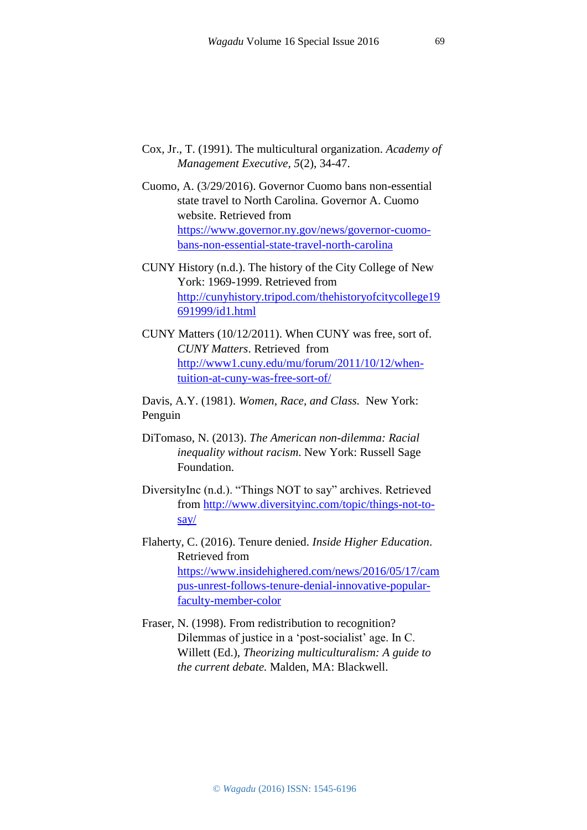- Cox, Jr., T. (1991). The multicultural organization. *Academy of Management Executive, 5*(2), 34-47.
- Cuomo, A. (3/29/2016). Governor Cuomo bans non-essential state travel to North Carolina. Governor A. Cuomo website. Retrieved from [https://www.governor.ny.gov/news/governor-cuomo](https://www.governor.ny.gov/news/governor-cuomo-bans-non-essential-state-travel-north-carolina)[bans-non-essential-state-travel-north-carolina](https://www.governor.ny.gov/news/governor-cuomo-bans-non-essential-state-travel-north-carolina)
- CUNY History (n.d.). The history of the City College of New York: 1969-1999. Retrieved from [http://cunyhistory.tripod.com/thehistoryofcitycollege19](http://cunyhistory.tripod.com/thehistoryofcitycollege19691999/id1.html) [691999/id1.html](http://cunyhistory.tripod.com/thehistoryofcitycollege19691999/id1.html)
- CUNY Matters (10/12/2011). When CUNY was free, sort of. *CUNY Matters*. Retrieved from [http://www1.cuny.edu/mu/forum/2011/10/12/when](http://www1.cuny.edu/mu/forum/2011/10/12/when-tuition-at-cuny-was-free-sort-of/)[tuition-at-cuny-was-free-sort-of/](http://www1.cuny.edu/mu/forum/2011/10/12/when-tuition-at-cuny-was-free-sort-of/)

Davis, A.Y. (1981). *Women, Race, and Class.* New York: Penguin

- DiTomaso, N. (2013). *The American non-dilemma: Racial inequality without racism*. New York: Russell Sage Foundation.
- DiversityInc (n.d.). "Things NOT to say" archives. Retrieved from [http://www.diversityinc.com/topic/things-not-to](http://www.diversityinc.com/topic/things-not-to-say/)[say/](http://www.diversityinc.com/topic/things-not-to-say/)
- Flaherty, C. (2016). Tenure denied. *Inside Higher Education*. Retrieved from [https://www.insidehighered.com/news/2016/05/17/cam](https://www.insidehighered.com/news/2016/05/17/campus-unrest-follows-tenure-denial-innovative-popular-faculty-member-color) [pus-unrest-follows-tenure-denial-innovative-popular](https://www.insidehighered.com/news/2016/05/17/campus-unrest-follows-tenure-denial-innovative-popular-faculty-member-color)[faculty-member-color](https://www.insidehighered.com/news/2016/05/17/campus-unrest-follows-tenure-denial-innovative-popular-faculty-member-color)
- Fraser, N. (1998). From redistribution to recognition? Dilemmas of justice in a 'post-socialist' age. In C. Willett (Ed.), *Theorizing multiculturalism: A guide to the current debate.* Malden, MA: Blackwell.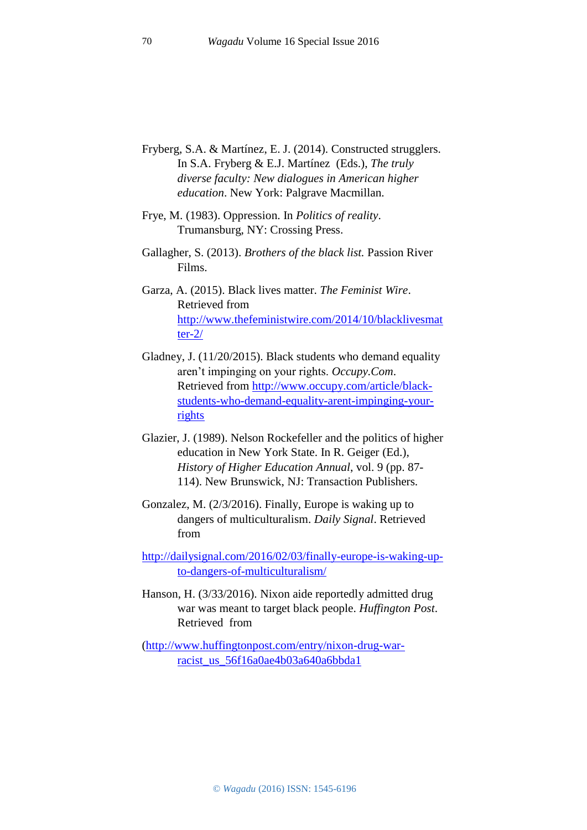- Fryberg, S.A. & Martínez, E. J. (2014). Constructed strugglers. In S.A. Fryberg & E.J. Martínez (Eds.), *The truly diverse faculty: New dialogues in American higher education*. New York: Palgrave Macmillan.
- Frye, M. (1983). Oppression. In *Politics of reality*. Trumansburg, NY: Crossing Press.
- Gallagher, S. (2013). *Brothers of the black list.* Passion River Films.
- Garza, A. (2015). Black lives matter. *The Feminist Wire*. Retrieved from [http://www.thefeministwire.com/2014/10/blacklivesmat](http://www.thefeministwire.com/2014/10/blacklivesmatter-2/) [ter-2/](http://www.thefeministwire.com/2014/10/blacklivesmatter-2/)
- Gladney, J. (11/20/2015). Black students who demand equality aren't impinging on your rights. *Occupy.Com*. Retrieved from [http://www.occupy.com/article/black](http://www.occupy.com/article/black-students-who-demand-equality-arent-impinging-your-rights)[students-who-demand-equality-arent-impinging-your](http://www.occupy.com/article/black-students-who-demand-equality-arent-impinging-your-rights)[rights](http://www.occupy.com/article/black-students-who-demand-equality-arent-impinging-your-rights)
- Glazier, J. (1989). Nelson Rockefeller and the politics of higher education in New York State. In R. Geiger (Ed.), *History of Higher Education Annual*, vol. 9 (pp. 87- 114). New Brunswick, NJ: Transaction Publishers.
- Gonzalez, M. (2/3/2016). Finally, Europe is waking up to dangers of multiculturalism. *Daily Signal*. Retrieved from

[http://dailysignal.com/2016/02/03/finally-europe-is-waking-up](http://dailysignal.com/2016/02/03/finally-europe-is-waking-up-to-dangers-of-multiculturalism/)[to-dangers-of-multiculturalism/](http://dailysignal.com/2016/02/03/finally-europe-is-waking-up-to-dangers-of-multiculturalism/)

Hanson, H. (3/33/2016). Nixon aide reportedly admitted drug war was meant to target black people. *Huffington Post*. Retrieved from

[\(http://www.huffingtonpost.com/entry/nixon-drug-war](http://www.huffingtonpost.com/entry/nixon-drug-war-racist_us_56f16a0ae4b03a640a6bbda1)[racist\\_us\\_56f16a0ae4b03a640a6bbda1](http://www.huffingtonpost.com/entry/nixon-drug-war-racist_us_56f16a0ae4b03a640a6bbda1)

70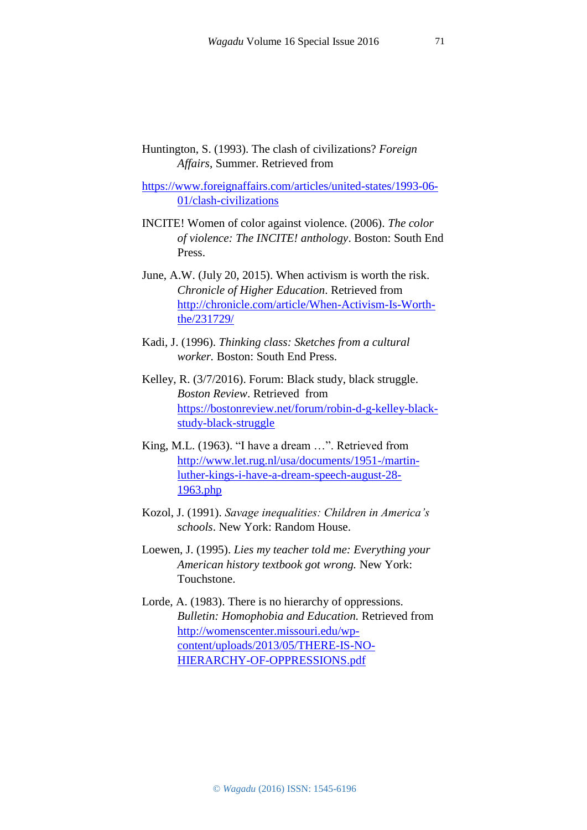Huntington, S. (1993). The clash of civilizations? *Foreign Affairs*, Summer. Retrieved from

[https://www.foreignaffairs.com/articles/united-states/1993-06-](https://www.foreignaffairs.com/articles/united-states/1993-06-01/clash-civilizations) [01/clash-civilizations](https://www.foreignaffairs.com/articles/united-states/1993-06-01/clash-civilizations)

- INCITE! Women of color against violence. (2006). *The color of violence: The INCITE! anthology*. Boston: South End Press.
- June, A.W. (July 20, 2015). When activism is worth the risk. *Chronicle of Higher Education*. Retrieved from [http://chronicle.com/article/When-Activism-Is-Worth](http://chronicle.com/article/When-Activism-Is-Worth-the/231729/)[the/231729/](http://chronicle.com/article/When-Activism-Is-Worth-the/231729/)
- Kadi, J. (1996). *Thinking class: Sketches from a cultural worker.* Boston: South End Press.
- Kelley, R. (3/7/2016). Forum: Black study, black struggle. *Boston Review*. Retrieved from [https://bostonreview.net/forum/robin-d-g-kelley-black](https://bostonreview.net/forum/robin-d-g-kelley-black-study-black-struggle)[study-black-struggle](https://bostonreview.net/forum/robin-d-g-kelley-black-study-black-struggle)
- King, M.L. (1963). "I have a dream …". Retrieved from [http://www.let.rug.nl/usa/documents/1951-/martin](http://www.let.rug.nl/usa/documents/1951-/martin-luther-kings-i-have-a-dream-speech-august-28-1963.php)[luther-kings-i-have-a-dream-speech-august-28-](http://www.let.rug.nl/usa/documents/1951-/martin-luther-kings-i-have-a-dream-speech-august-28-1963.php) [1963.php](http://www.let.rug.nl/usa/documents/1951-/martin-luther-kings-i-have-a-dream-speech-august-28-1963.php)
- Kozol, J. (1991). *Savage inequalities: Children in America's schools*. New York: Random House.
- Loewen, J. (1995). *Lies my teacher told me: Everything your American history textbook got wrong.* New York: Touchstone.
- Lorde, A. (1983). There is no hierarchy of oppressions. *Bulletin: Homophobia and Education.* Retrieved from [http://womenscenter.missouri.edu/wp](http://womenscenter.missouri.edu/wp-content/uploads/2013/05/THERE-IS-NO-HIERARCHY-OF-OPPRESSIONS.pdf)[content/uploads/2013/05/THERE-IS-NO-](http://womenscenter.missouri.edu/wp-content/uploads/2013/05/THERE-IS-NO-HIERARCHY-OF-OPPRESSIONS.pdf)[HIERARCHY-OF-OPPRESSIONS.pdf](http://womenscenter.missouri.edu/wp-content/uploads/2013/05/THERE-IS-NO-HIERARCHY-OF-OPPRESSIONS.pdf)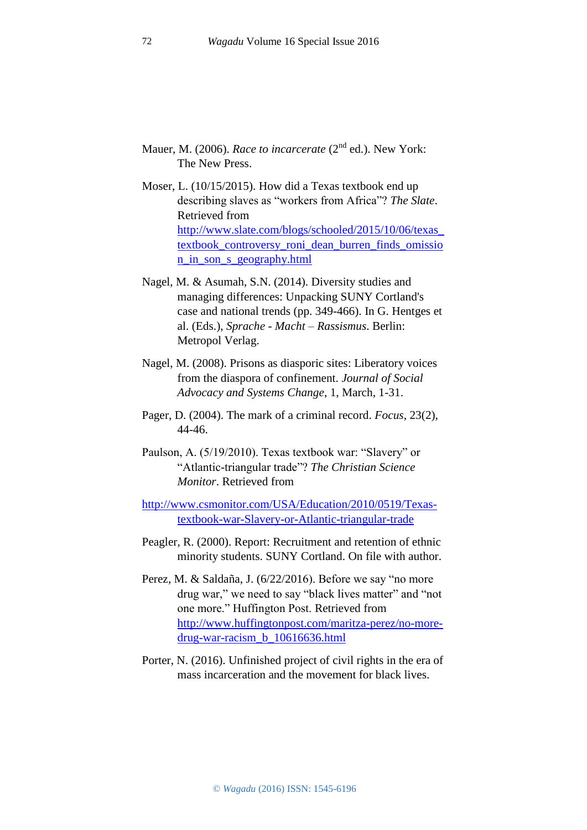- Mauer, M. (2006). *Race to incarcerate* (2nd ed.). New York: The New Press.
- Moser, L. (10/15/2015). How did a Texas textbook end up describing slaves as "workers from Africa"? *The Slate*. Retrieved from [http://www.slate.com/blogs/schooled/2015/10/06/texas\\_](http://www.slate.com/blogs/schooled/2015/10/06/texas_textbook_controversy_roni_dean_burren_finds_omission_in_son_s_geography.html) [textbook\\_controversy\\_roni\\_dean\\_burren\\_finds\\_omissio](http://www.slate.com/blogs/schooled/2015/10/06/texas_textbook_controversy_roni_dean_burren_finds_omission_in_son_s_geography.html) [n\\_in\\_son\\_s\\_geography.html](http://www.slate.com/blogs/schooled/2015/10/06/texas_textbook_controversy_roni_dean_burren_finds_omission_in_son_s_geography.html)
- Nagel, M. & Asumah, S.N. (2014). Diversity studies and managing differences: Unpacking SUNY Cortland's case and national trends (pp. 349-466). In G. Hentges et al. (Eds.), *Sprache - Macht – Rassismus*. Berlin: Metropol Verlag.
- Nagel, M. (2008). Prisons as diasporic sites: Liberatory voices from the diaspora of confinement. *Journal of Social Advocacy and Systems Change*, 1, March, 1-31.
- Pager, D. (2004). The mark of a criminal record. *Focus*, 23(2), 44-46.
- Paulson, A. (5/19/2010). Texas textbook war: "Slavery" or "Atlantic-triangular trade"? *The Christian Science Monitor*. Retrieved from

[http://www.csmonitor.com/USA/Education/2010/0519/Texas](http://www.csmonitor.com/USA/Education/2010/0519/Texas-textbook-war-Slavery-or-Atlantic-triangular-trade)[textbook-war-Slavery-or-Atlantic-triangular-trade](http://www.csmonitor.com/USA/Education/2010/0519/Texas-textbook-war-Slavery-or-Atlantic-triangular-trade)

- Peagler, R. (2000). Report: Recruitment and retention of ethnic minority students. SUNY Cortland. On file with author.
- Perez, M. & Saldaña, J. (6/22/2016). Before we say "no more drug war," we need to say "black lives matter" and "not one more." Huffington Post. Retrieved from [http://www.huffingtonpost.com/maritza-perez/no-more](http://www.huffingtonpost.com/maritza-perez/no-more-drug-war-racism_b_10616636.html)[drug-war-racism\\_b\\_10616636.html](http://www.huffingtonpost.com/maritza-perez/no-more-drug-war-racism_b_10616636.html)
- Porter, N. (2016). Unfinished project of civil rights in the era of mass incarceration and the movement for black lives.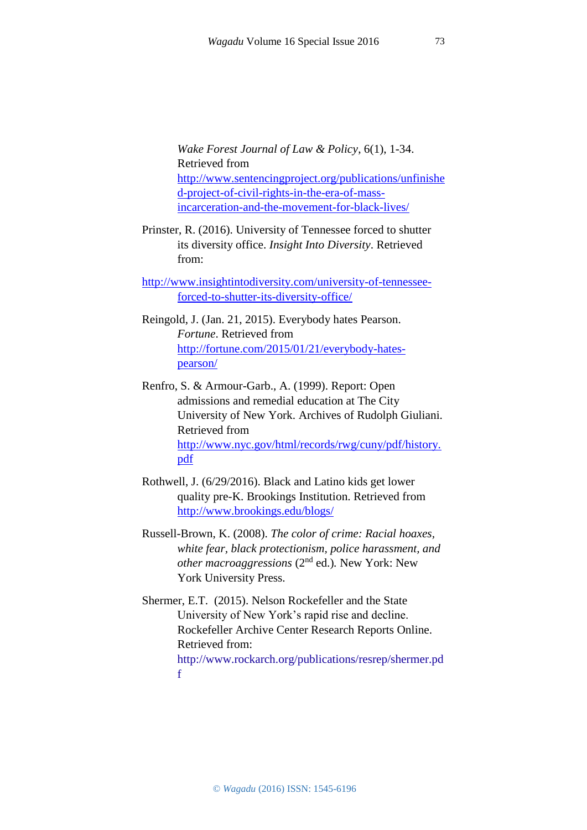*Wake Forest Journal of Law & Policy*, 6(1), 1-34. Retrieved from [http://www.sentencingproject.org/publications/unfinishe](http://www.sentencingproject.org/publications/unfinished-project-of-civil-rights-in-the-era-of-mass-incarceration-and-the-movement-for-black-lives/) [d-project-of-civil-rights-in-the-era-of-mass](http://www.sentencingproject.org/publications/unfinished-project-of-civil-rights-in-the-era-of-mass-incarceration-and-the-movement-for-black-lives/)[incarceration-and-the-movement-for-black-lives/](http://www.sentencingproject.org/publications/unfinished-project-of-civil-rights-in-the-era-of-mass-incarceration-and-the-movement-for-black-lives/)

Prinster, R. (2016). University of Tennessee forced to shutter its diversity office. *Insight Into Diversity*. Retrieved from:

[http://www.insightintodiversity.com/university-of-tennessee](http://www.insightintodiversity.com/university-of-tennessee-forced-to-shutter-its-diversity-office/)[forced-to-shutter-its-diversity-office/](http://www.insightintodiversity.com/university-of-tennessee-forced-to-shutter-its-diversity-office/)

Reingold, J. (Jan. 21, 2015). Everybody hates Pearson. *Fortune*. Retrieved from [http://fortune.com/2015/01/21/everybody-hates](http://fortune.com/2015/01/21/everybody-hates-pearson/)[pearson/](http://fortune.com/2015/01/21/everybody-hates-pearson/)

- Renfro, S. & Armour-Garb., A. (1999). Report: Open admissions and remedial education at The City University of New York. Archives of Rudolph Giuliani. Retrieved from [http://www.nyc.gov/html/records/rwg/cuny/pdf/history.](http://www.nyc.gov/html/records/rwg/cuny/pdf/history.pdf) [pdf](http://www.nyc.gov/html/records/rwg/cuny/pdf/history.pdf)
- Rothwell, J. (6/29/2016). Black and Latino kids get lower quality pre-K. Brookings Institution. Retrieved from <http://www.brookings.edu/blogs/>

Russell-Brown, K. (2008). *The color of crime: Racial hoaxes, white fear, black protectionism, police harassment, and other macroaggressions* (2nd ed.)*.* New York: New York University Press.

Shermer, E.T. (2015). Nelson Rockefeller and the State University of New York's rapid rise and decline. Rockefeller Archive Center Research Reports Online. Retrieved from: [http://www.rockarch.org/publications/resrep/shermer.pd](http://www.rockarch.org/publications/resrep/shermer.pdf) [f](http://www.rockarch.org/publications/resrep/shermer.pdf)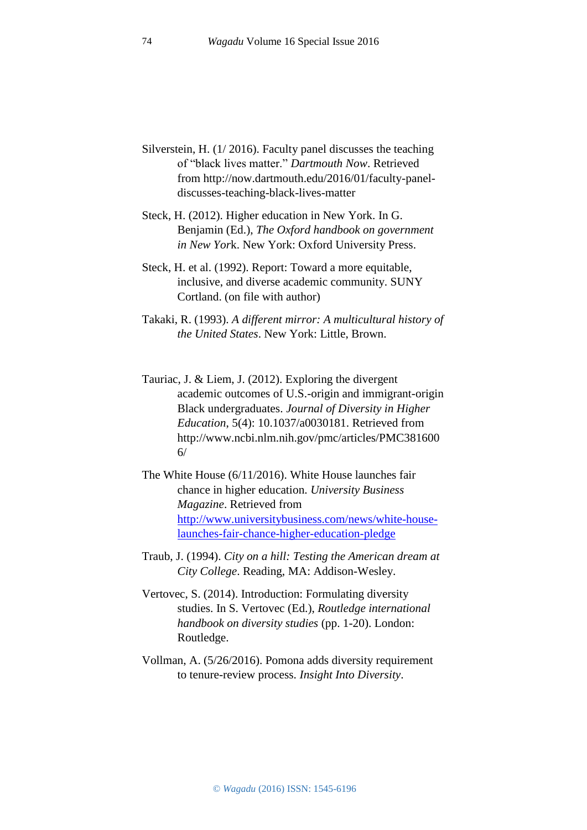- Silverstein, H. (1/ 2016). Faculty panel discusses the teaching of "black lives matter." *Dartmouth Now*. Retrieved from http://now.dartmouth.edu/2016/01/faculty-paneldiscusses-teaching-black-lives-matter
- Steck, H. (2012). Higher education in New York. In G. Benjamin (Ed.), *The Oxford handbook on government in New Yor*k. New York: Oxford University Press.
- Steck, H. et al. (1992). Report: Toward a more equitable, inclusive, and diverse academic community. SUNY Cortland. (on file with author)
- Takaki, R. (1993). *A different mirror: A multicultural history of the United States*. New York: Little, Brown.
- Tauriac, J. & Liem, J. (2012). Exploring the divergent academic outcomes of U.S.-origin and immigrant-origin Black undergraduates. *Journal of Diversity in Higher Education*, 5(4): 10.1037/a0030181. Retrieved from [http://www.ncbi.nlm.nih.gov/pmc/articles/PMC381600](http://www.ncbi.nlm.nih.gov/pmc/articles/PMC3816006/)  $6/$
- The White House (6/11/2016). White House launches fair chance in higher education. *University Business Magazine*. Retrieved from [http://www.universitybusiness.com/news/white-house](http://www.universitybusiness.com/news/white-house-launches-fair-chance-higher-education-pledge)[launches-fair-chance-higher-education-pledge](http://www.universitybusiness.com/news/white-house-launches-fair-chance-higher-education-pledge)
- Traub, J. (1994). *City on a hill: Testing the American dream at City College*. Reading, MA: Addison-Wesley.
- Vertovec, S. (2014). Introduction: Formulating diversity studies. In S. Vertovec (Ed.), *Routledge international handbook on diversity studies* (pp. 1-20). London: Routledge.
- Vollman, A. (5/26/2016). Pomona adds diversity requirement to tenure-review process. *Insight Into Diversity*.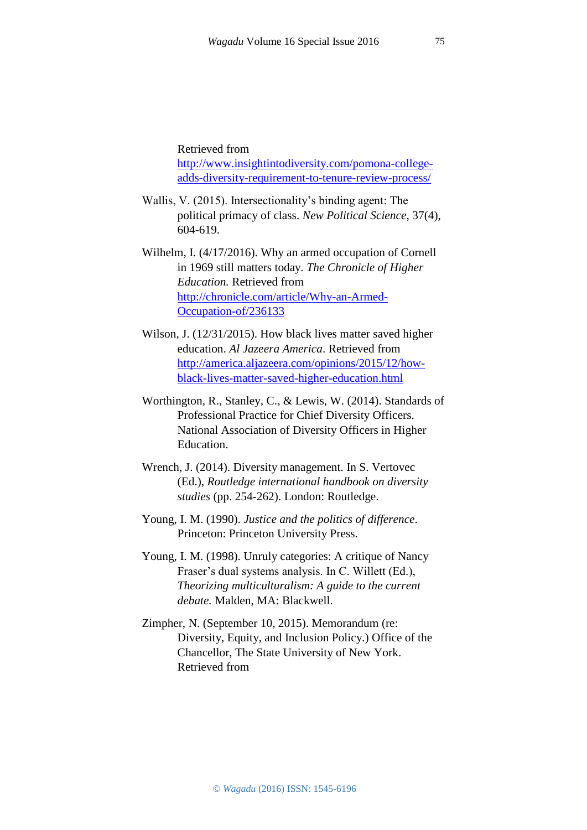Retrieved from [http://www.insightintodiversity.com/pomona-college](http://www.insightintodiversity.com/pomona-college-adds-diversity-requirement-to-tenure-review-process/)[adds-diversity-requirement-to-tenure-review-process/](http://www.insightintodiversity.com/pomona-college-adds-diversity-requirement-to-tenure-review-process/)

- Wallis, V. (2015). Intersectionality's binding agent: The political primacy of class. *New Political Science*, 37(4), 604-619.
- Wilhelm, I. (4/17/2016). Why an armed occupation of Cornell in 1969 still matters today. *The Chronicle of Higher Education.* Retrieved from [http://chronicle.com/article/Why-an-Armed-](http://chronicle.com/article/Why-an-Armed-Occupation-of/236133)[Occupation-of/236133](http://chronicle.com/article/Why-an-Armed-Occupation-of/236133)
- Wilson, J. (12/31/2015). How black lives matter saved higher education. *Al Jazeera America*. Retrieved from [http://america.aljazeera.com/opinions/2015/12/how](http://america.aljazeera.com/opinions/2015/12/how-black-lives-matter-saved-higher-education.html)[black-lives-matter-saved-higher-education.html](http://america.aljazeera.com/opinions/2015/12/how-black-lives-matter-saved-higher-education.html)
- Worthington, R., Stanley, C., & Lewis, W. (2014). Standards of Professional Practice for Chief Diversity Officers. National Association of Diversity Officers in Higher Education.
- Wrench, J. (2014). Diversity management. In S. Vertovec (Ed.), *Routledge international handbook on diversity studies* (pp. 254-262). London: Routledge.
- Young, I. M. (1990). *Justice and the politics of difference*. Princeton: Princeton University Press.
- Young, I. M. (1998). Unruly categories: A critique of Nancy Fraser's dual systems analysis. In C. Willett (Ed.), *Theorizing multiculturalism: A guide to the current debate.* Malden, MA: Blackwell.
- Zimpher, N. (September 10, 2015). Memorandum (re: Diversity, Equity, and Inclusion Policy.) Office of the Chancellor, The State University of New York. Retrieved from